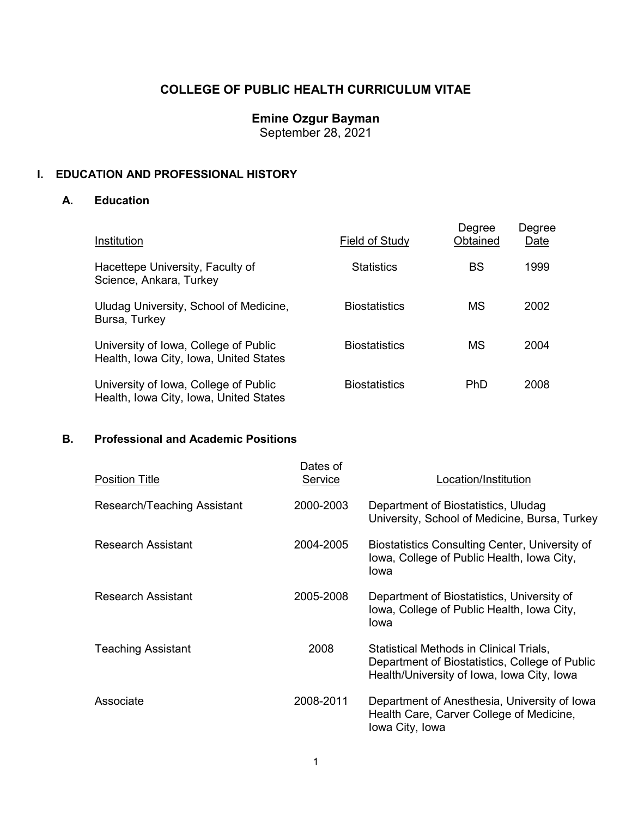# **COLLEGE OF PUBLIC HEALTH CURRICULUM VITAE**

## **Emine Ozgur Bayman**

September 28, 2021

### **I. EDUCATION AND PROFESSIONAL HISTORY**

### **A. Education**

| Institution                                                                     | Field of Study       | Degree<br>Obtained | Degree<br>Date |
|---------------------------------------------------------------------------------|----------------------|--------------------|----------------|
| Hacettepe University, Faculty of<br>Science, Ankara, Turkey                     | <b>Statistics</b>    | BS                 | 1999           |
| Uludag University, School of Medicine,<br>Bursa, Turkey                         | <b>Biostatistics</b> | МS                 | 2002           |
| University of Iowa, College of Public<br>Health, Iowa City, Iowa, United States | <b>Biostatistics</b> | МS                 | 2004           |
| University of Iowa, College of Public<br>Health, Iowa City, Iowa, United States | <b>Biostatistics</b> | PhD                | 2008           |

### **B. Professional and Academic Positions**

| <b>Position Title</b>       | Dates of<br>Service | Location/Institution                                                                                                                    |
|-----------------------------|---------------------|-----------------------------------------------------------------------------------------------------------------------------------------|
| Research/Teaching Assistant | 2000-2003           | Department of Biostatistics, Uludag<br>University, School of Medicine, Bursa, Turkey                                                    |
| Research Assistant          | 2004-2005           | Biostatistics Consulting Center, University of<br>lowa, College of Public Health, Iowa City,<br>lowa                                    |
| <b>Research Assistant</b>   | 2005-2008           | Department of Biostatistics, University of<br>Iowa, College of Public Health, Iowa City,<br>Iowa                                        |
| <b>Teaching Assistant</b>   | 2008                | Statistical Methods in Clinical Trials,<br>Department of Biostatistics, College of Public<br>Health/University of Iowa, Iowa City, Iowa |
| Associate                   | 2008-2011           | Department of Anesthesia, University of Iowa<br>Health Care, Carver College of Medicine,<br>Iowa City, Iowa                             |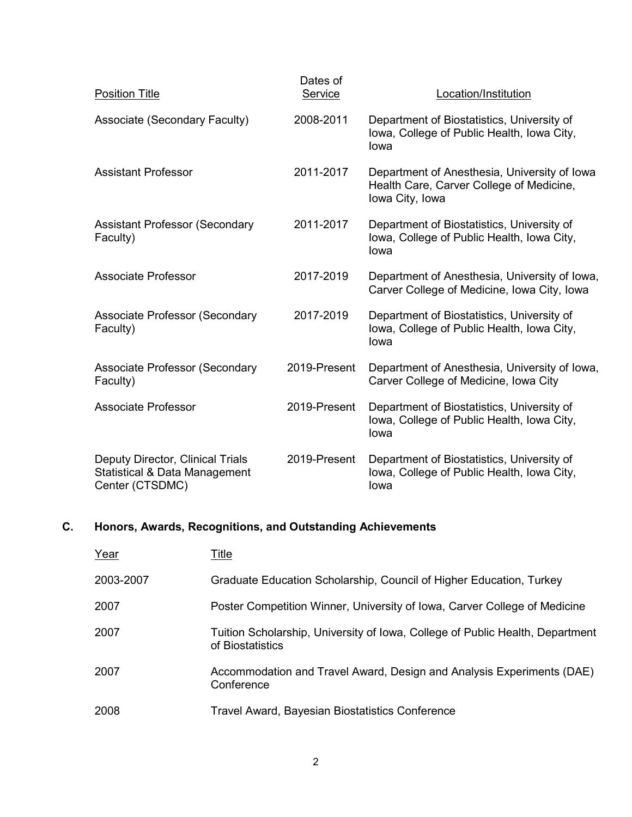| <b>Position Title</b>                                                                           | Dates of<br>Service | Location/Institution                                                                                        |
|-------------------------------------------------------------------------------------------------|---------------------|-------------------------------------------------------------------------------------------------------------|
| Associate (Secondary Faculty)                                                                   | 2008-2011           | Department of Biostatistics, University of<br>lowa, College of Public Health, Iowa City,<br>lowa            |
| <b>Assistant Professor</b>                                                                      | 2011-2017           | Department of Anesthesia, University of Iowa<br>Health Care, Carver College of Medicine,<br>Iowa City, Iowa |
| <b>Assistant Professor (Secondary</b><br>Faculty)                                               | 2011-2017           | Department of Biostatistics, University of<br>lowa, College of Public Health, Iowa City,<br>lowa            |
| <b>Associate Professor</b>                                                                      | 2017-2019           | Department of Anesthesia, University of Iowa,<br>Carver College of Medicine, Iowa City, Iowa                |
| <b>Associate Professor (Secondary</b><br>Faculty)                                               | 2017-2019           | Department of Biostatistics, University of<br>lowa, College of Public Health, Iowa City,<br>lowa            |
| <b>Associate Professor (Secondary</b><br>Faculty)                                               | 2019-Present        | Department of Anesthesia, University of Iowa,<br>Carver College of Medicine, Iowa City                      |
| <b>Associate Professor</b>                                                                      | 2019-Present        | Department of Biostatistics, University of<br>Iowa, College of Public Health, Iowa City,<br>lowa            |
| Deputy Director, Clinical Trials<br><b>Statistical &amp; Data Management</b><br>Center (CTSDMC) | 2019-Present        | Department of Biostatistics, University of<br>Iowa, College of Public Health, Iowa City,<br>lowa            |

# **C. Honors, Awards, Recognitions, and Outstanding Achievements**

| Year      | Title                                                                                             |
|-----------|---------------------------------------------------------------------------------------------------|
| 2003-2007 | Graduate Education Scholarship, Council of Higher Education, Turkey                               |
| 2007      | Poster Competition Winner, University of Iowa, Carver College of Medicine                         |
| 2007      | Tuition Scholarship, University of Iowa, College of Public Health, Department<br>of Biostatistics |
| 2007      | Accommodation and Travel Award, Design and Analysis Experiments (DAE)<br>Conference               |
| 2008      | Travel Award, Bayesian Biostatistics Conference                                                   |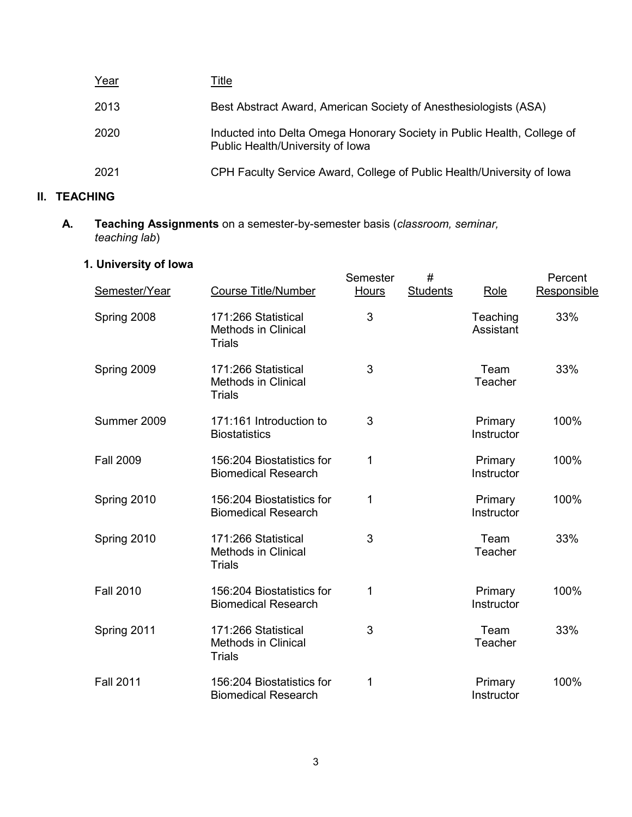| Year | Title                                                                                                       |
|------|-------------------------------------------------------------------------------------------------------------|
| 2013 | Best Abstract Award, American Society of Anesthesiologists (ASA)                                            |
| 2020 | Inducted into Delta Omega Honorary Society in Public Health, College of<br>Public Health/University of Iowa |
| 2021 | CPH Faculty Service Award, College of Public Health/University of Iowa                                      |

# **II. TEACHING**

**A. Teaching Assignments** on a semester-by-semester basis (*classroom, seminar, teaching lab*)

# **1. University of Iowa**

| Semester/Year    | <b>Course Title/Number</b>                                         | Semester<br>Hours | #<br><b>Students</b> | Role                  | Percent<br>Responsible |
|------------------|--------------------------------------------------------------------|-------------------|----------------------|-----------------------|------------------------|
| Spring 2008      | 171:266 Statistical<br><b>Methods in Clinical</b><br><b>Trials</b> | 3                 |                      | Teaching<br>Assistant | 33%                    |
| Spring 2009      | 171:266 Statistical<br><b>Methods in Clinical</b><br><b>Trials</b> | 3                 |                      | Team<br>Teacher       | 33%                    |
| Summer 2009      | 171:161 Introduction to<br><b>Biostatistics</b>                    | 3                 |                      | Primary<br>Instructor | 100%                   |
| <b>Fall 2009</b> | 156:204 Biostatistics for<br><b>Biomedical Research</b>            | 1                 |                      | Primary<br>Instructor | 100%                   |
| Spring 2010      | 156:204 Biostatistics for<br><b>Biomedical Research</b>            | 1                 |                      | Primary<br>Instructor | 100%                   |
| Spring 2010      | 171:266 Statistical<br><b>Methods in Clinical</b><br><b>Trials</b> | 3                 |                      | Team<br>Teacher       | 33%                    |
| <b>Fall 2010</b> | 156:204 Biostatistics for<br><b>Biomedical Research</b>            | 1                 |                      | Primary<br>Instructor | 100%                   |
| Spring 2011      | 171:266 Statistical<br><b>Methods in Clinical</b><br><b>Trials</b> | 3                 |                      | Team<br>Teacher       | 33%                    |
| <b>Fall 2011</b> | 156:204 Biostatistics for<br><b>Biomedical Research</b>            | 1                 |                      | Primary<br>Instructor | 100%                   |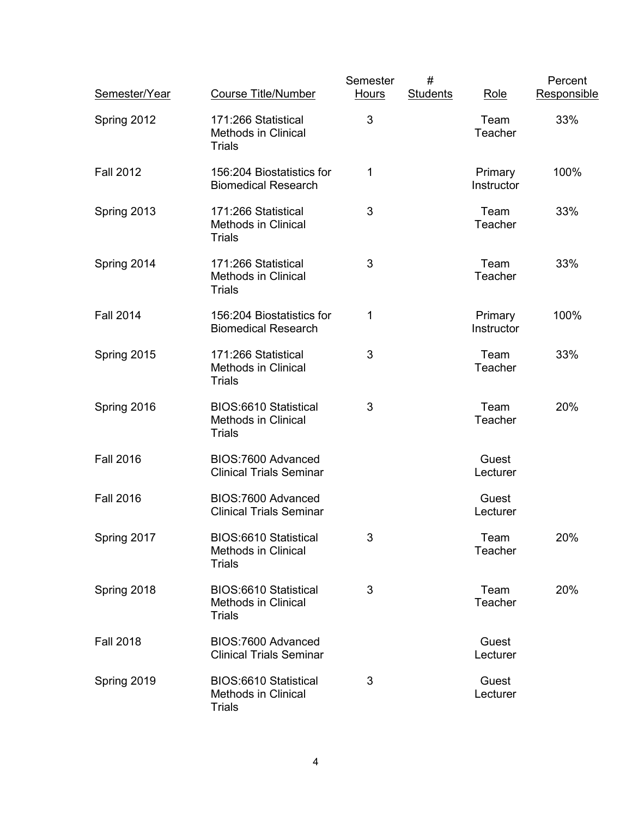| Semester/Year    | <b>Course Title/Number</b>                                                  | Semester<br><b>Hours</b> | $\#$<br><b>Students</b> | Role                  | Percent<br>Responsible |
|------------------|-----------------------------------------------------------------------------|--------------------------|-------------------------|-----------------------|------------------------|
| Spring 2012      | 171:266 Statistical<br><b>Methods in Clinical</b><br><b>Trials</b>          | 3                        |                         | Team<br>Teacher       | 33%                    |
| <b>Fall 2012</b> | 156:204 Biostatistics for<br><b>Biomedical Research</b>                     | 1                        |                         | Primary<br>Instructor | 100%                   |
| Spring 2013      | 171:266 Statistical<br><b>Methods in Clinical</b><br><b>Trials</b>          | 3                        |                         | Team<br>Teacher       | 33%                    |
| Spring 2014      | 171:266 Statistical<br><b>Methods in Clinical</b><br><b>Trials</b>          | 3                        |                         | Team<br>Teacher       | 33%                    |
| <b>Fall 2014</b> | 156:204 Biostatistics for<br><b>Biomedical Research</b>                     | 1                        |                         | Primary<br>Instructor | 100%                   |
| Spring 2015      | 171:266 Statistical<br><b>Methods in Clinical</b><br><b>Trials</b>          | 3                        |                         | Team<br>Teacher       | 33%                    |
| Spring 2016      | <b>BIOS:6610 Statistical</b><br><b>Methods in Clinical</b><br><b>Trials</b> | 3                        |                         | Team<br>Teacher       | 20%                    |
| <b>Fall 2016</b> | BIOS:7600 Advanced<br><b>Clinical Trials Seminar</b>                        |                          |                         | Guest<br>Lecturer     |                        |
| <b>Fall 2016</b> | BIOS:7600 Advanced<br><b>Clinical Trials Seminar</b>                        |                          |                         | Guest<br>Lecturer     |                        |
| Spring 2017      | BIOS:6610 Statistical<br><b>Methods in Clinical</b><br><b>Trials</b>        | 3                        |                         | Team<br>Teacher       | 20%                    |
| Spring 2018      | BIOS:6610 Statistical<br><b>Methods in Clinical</b><br><b>Trials</b>        | 3                        |                         | Team<br>Teacher       | 20%                    |
| <b>Fall 2018</b> | BIOS:7600 Advanced<br><b>Clinical Trials Seminar</b>                        |                          |                         | Guest<br>Lecturer     |                        |
| Spring 2019      | BIOS:6610 Statistical<br><b>Methods in Clinical</b><br><b>Trials</b>        | 3                        |                         | Guest<br>Lecturer     |                        |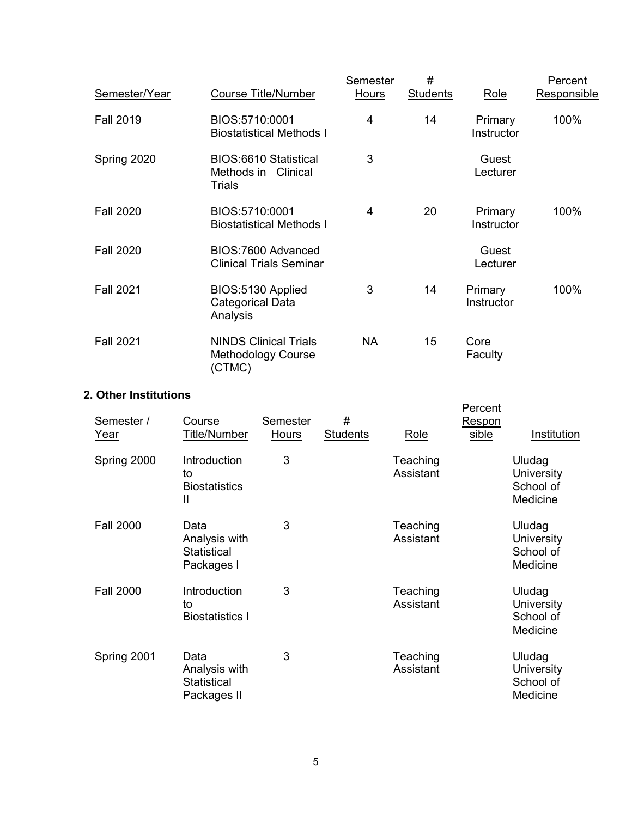| Semester/Year    | <b>Course Title/Number</b>                                          | Semester<br>Hours | #<br><b>Students</b> | Role                  | Percent<br>Responsible |
|------------------|---------------------------------------------------------------------|-------------------|----------------------|-----------------------|------------------------|
| <b>Fall 2019</b> | BIOS:5710:0001<br><b>Biostatistical Methods I</b>                   | 4                 | 14                   | Primary<br>Instructor | 100%                   |
| Spring 2020      | BIOS:6610 Statistical<br>Methods in<br>Clinical<br><b>Trials</b>    | 3                 |                      | Guest<br>Lecturer     |                        |
| <b>Fall 2020</b> | BIOS:5710:0001<br><b>Biostatistical Methods I</b>                   | 4                 | 20                   | Primary<br>Instructor | 100%                   |
| <b>Fall 2020</b> | BIOS:7600 Advanced<br><b>Clinical Trials Seminar</b>                |                   |                      | Guest<br>Lecturer     |                        |
| <b>Fall 2021</b> | BIOS:5130 Applied<br><b>Categorical Data</b><br>Analysis            | 3                 | 14                   | Primary<br>Instructor | 100%                   |
| <b>Fall 2021</b> | <b>NINDS Clinical Trials</b><br><b>Methodology Course</b><br>(CTMC) | <b>NA</b>         | 15                   | Core<br>Faculty       |                        |

### **2. Other Institutions**

| Semester /<br>Year | Course<br><b>Title/Number</b>                              | Semester<br>Hours | #<br><b>Students</b> | Role                  | Percent<br>Respon<br>sible | Institution                                   |
|--------------------|------------------------------------------------------------|-------------------|----------------------|-----------------------|----------------------------|-----------------------------------------------|
| Spring 2000        | Introduction<br>to<br><b>Biostatistics</b><br>Ш            | 3                 |                      | Teaching<br>Assistant |                            | Uludag<br>University<br>School of<br>Medicine |
| <b>Fall 2000</b>   | Data<br>Analysis with<br><b>Statistical</b><br>Packages I  | 3                 |                      | Teaching<br>Assistant |                            | Uludag<br>University<br>School of<br>Medicine |
| <b>Fall 2000</b>   | Introduction<br>to<br><b>Biostatistics I</b>               | 3                 |                      | Teaching<br>Assistant |                            | Uludag<br>University<br>School of<br>Medicine |
| Spring 2001        | Data<br>Analysis with<br><b>Statistical</b><br>Packages II | 3                 |                      | Teaching<br>Assistant |                            | Uludag<br>University<br>School of<br>Medicine |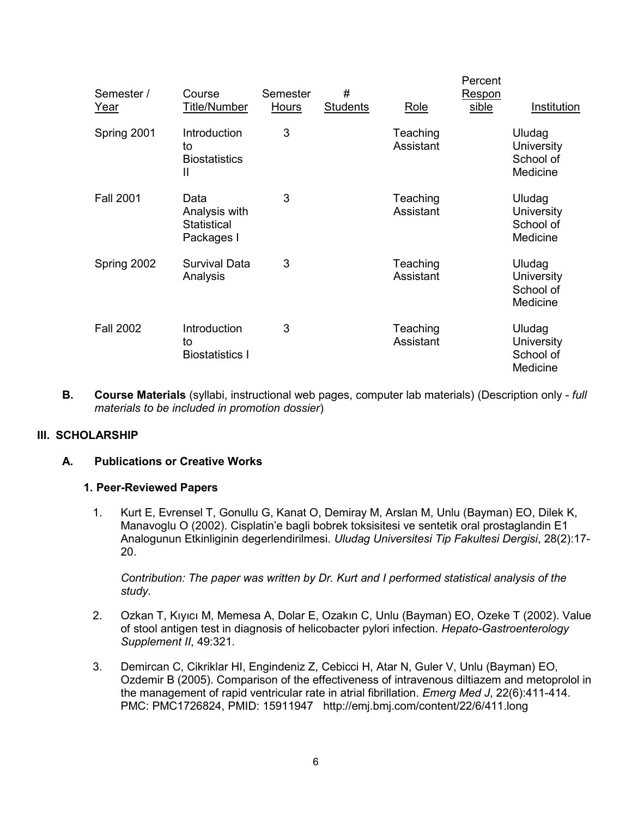| Semester /<br>Year | Course<br>Title/Number                             | Semester<br><b>Hours</b> | #<br><b>Students</b> | Role                  | Percent<br>Respon<br>sible | Institution                                          |
|--------------------|----------------------------------------------------|--------------------------|----------------------|-----------------------|----------------------------|------------------------------------------------------|
| Spring 2001        | Introduction<br>to<br><b>Biostatistics</b><br>Ш    | 3                        |                      | Teaching<br>Assistant |                            | Uludag<br>University<br>School of<br>Medicine        |
| <b>Fall 2001</b>   | Data<br>Analysis with<br>Statistical<br>Packages I | 3                        |                      | Teaching<br>Assistant |                            | Uludag<br>University<br>School of<br>Medicine        |
| Spring 2002        | <b>Survival Data</b><br>Analysis                   | 3                        |                      | Teaching<br>Assistant |                            | Uludag<br>University<br>School of<br>Medicine        |
| <b>Fall 2002</b>   | Introduction<br>to<br><b>Biostatistics I</b>       | 3                        |                      | Teaching<br>Assistant |                            | Uludag<br><b>University</b><br>School of<br>Medicine |

**B. Course Materials** (syllabi, instructional web pages, computer lab materials) (Description only - *full materials to be included in promotion dossier*)

#### **III. SCHOLARSHIP**

#### **A. Publications or Creative Works**

#### **1. Peer-Reviewed Papers**

1. Kurt E, Evrensel T, Gonullu G, Kanat O, Demiray M, Arslan M, Unlu (Bayman) EO, Dilek K, Manavoglu O (2002). Cisplatin'e bagli bobrek toksisitesi ve sentetik oral prostaglandin E1 Analogunun Etkinliginin degerlendirilmesi. *Uludag Universitesi Tip Fakultesi Dergisi*, 28(2):17- 20.

*Contribution: The paper was written by Dr. Kurt and I performed statistical analysis of the study.*

- 2. Ozkan T, Kıyıcı M, Memesa A, Dolar E, Ozakın C, Unlu (Bayman) EO, Ozeke T (2002). Value of stool antigen test in diagnosis of helicobacter pylori infection. *Hepato-Gastroenterology Supplement II*, 49:321.
- 3. Demircan C, Cikriklar HI, Engindeniz Z, Cebicci H, Atar N, Guler V, Unlu (Bayman) EO, Ozdemir B (2005). Comparison of the effectiveness of intravenous diltiazem and metoprolol in the management of rapid ventricular rate in atrial fibrillation. *Emerg Med J*, 22(6):411-414. PMC: PMC1726824, PMID: 15911947 http://emj.bmj.com/content/22/6/411.long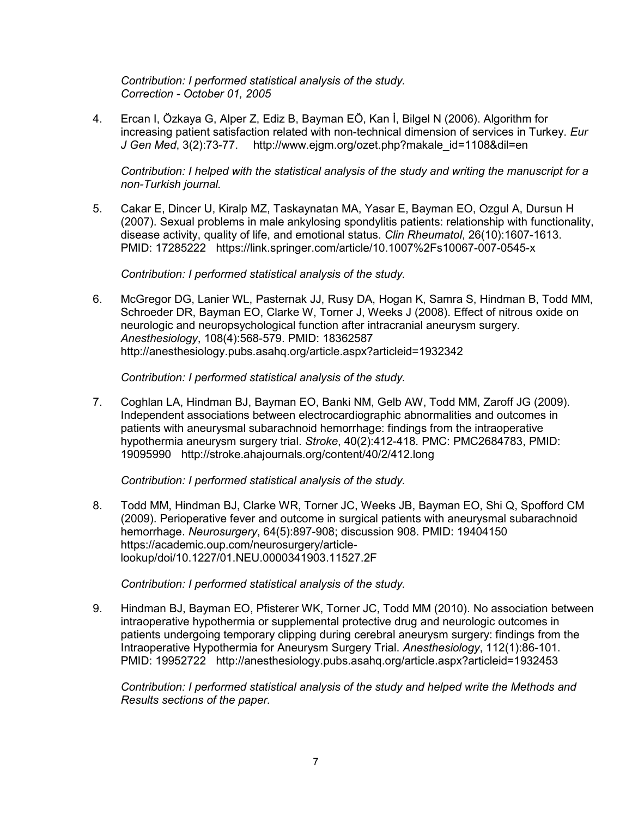*Contribution: I performed statistical analysis of the study. Correction - October 01, 2005*

4. Ercan I, Özkaya G, Alper Z, Ediz B, Bayman EÖ, Kan İ, Bilgel N (2006). Algorithm for increasing patient satisfaction related with non-technical dimension of services in Turkey. *Eur J Gen Med*, 3(2):73-77. http://www.ejgm.org/ozet.php?makale\_id=1108&dil=en

*Contribution: I helped with the statistical analysis of the study and writing the manuscript for a non-Turkish journal.*

5. Cakar E, Dincer U, Kiralp MZ, Taskaynatan MA, Yasar E, Bayman EO, Ozgul A, Dursun H (2007). Sexual problems in male ankylosing spondylitis patients: relationship with functionality, disease activity, quality of life, and emotional status. *Clin Rheumatol*, 26(10):1607-1613. PMID: 17285222 https://link.springer.com/article/10.1007%2Fs10067-007-0545-x

*Contribution: I performed statistical analysis of the study.*

6. McGregor DG, Lanier WL, Pasternak JJ, Rusy DA, Hogan K, Samra S, Hindman B, Todd MM, Schroeder DR, Bayman EO, Clarke W, Torner J, Weeks J (2008). Effect of nitrous oxide on neurologic and neuropsychological function after intracranial aneurysm surgery. *Anesthesiology*, 108(4):568-579. PMID: 18362587 http://anesthesiology.pubs.asahq.org/article.aspx?articleid=1932342

*Contribution: I performed statistical analysis of the study.*

7. Coghlan LA, Hindman BJ, Bayman EO, Banki NM, Gelb AW, Todd MM, Zaroff JG (2009). Independent associations between electrocardiographic abnormalities and outcomes in patients with aneurysmal subarachnoid hemorrhage: findings from the intraoperative hypothermia aneurysm surgery trial. *Stroke*, 40(2):412-418. PMC: PMC2684783, PMID: 19095990 http://stroke.ahajournals.org/content/40/2/412.long

*Contribution: I performed statistical analysis of the study.*

8. Todd MM, Hindman BJ, Clarke WR, Torner JC, Weeks JB, Bayman EO, Shi Q, Spofford CM (2009). Perioperative fever and outcome in surgical patients with aneurysmal subarachnoid hemorrhage. *Neurosurgery*, 64(5):897-908; discussion 908. PMID: 19404150 https://academic.oup.com/neurosurgery/articlelookup/doi/10.1227/01.NEU.0000341903.11527.2F

*Contribution: I performed statistical analysis of the study.*

9. Hindman BJ, Bayman EO, Pfisterer WK, Torner JC, Todd MM (2010). No association between intraoperative hypothermia or supplemental protective drug and neurologic outcomes in patients undergoing temporary clipping during cerebral aneurysm surgery: findings from the Intraoperative Hypothermia for Aneurysm Surgery Trial. *Anesthesiology*, 112(1):86-101. PMID: 19952722 http://anesthesiology.pubs.asahq.org/article.aspx?articleid=1932453

*Contribution: I performed statistical analysis of the study and helped write the Methods and Results sections of the paper.*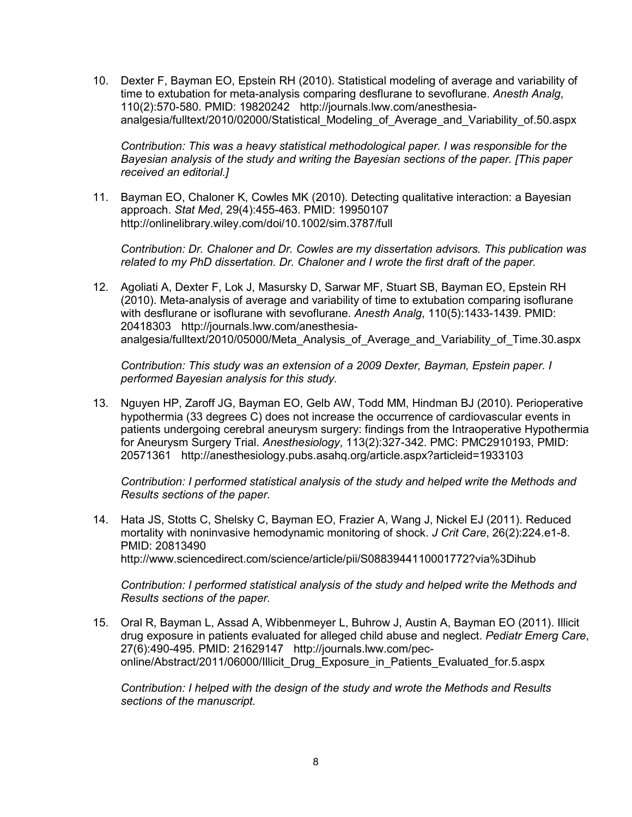10. Dexter F, Bayman EO, Epstein RH (2010). Statistical modeling of average and variability of time to extubation for meta-analysis comparing desflurane to sevoflurane. *Anesth Analg*, 110(2):570-580. PMID: 19820242 http://journals.lww.com/anesthesiaanalgesia/fulltext/2010/02000/Statistical\_Modeling\_of\_Average\_and\_Variability\_of.50.aspx

*Contribution: This was a heavy statistical methodological paper. I was responsible for the Bayesian analysis of the study and writing the Bayesian sections of the paper. [This paper received an editorial.]*

11. Bayman EO, Chaloner K, Cowles MK (2010). Detecting qualitative interaction: a Bayesian approach. *Stat Med*, 29(4):455-463. PMID: 19950107 http://onlinelibrary.wiley.com/doi/10.1002/sim.3787/full

*Contribution: Dr. Chaloner and Dr. Cowles are my dissertation advisors. This publication was related to my PhD dissertation. Dr. Chaloner and I wrote the first draft of the paper.*

12. Agoliati A, Dexter F, Lok J, Masursky D, Sarwar MF, Stuart SB, Bayman EO, Epstein RH (2010). Meta-analysis of average and variability of time to extubation comparing isoflurane with desflurane or isoflurane with sevoflurane. *Anesth Analg*, 110(5):1433-1439. PMID: 20418303 http://journals.lww.com/anesthesiaanalgesia/fulltext/2010/05000/Meta\_Analysis\_of\_Average\_and\_Variability\_of\_Time.30.aspx

*Contribution: This study was an extension of a 2009 Dexter, Bayman, Epstein paper. I performed Bayesian analysis for this study.*

13. Nguyen HP, Zaroff JG, Bayman EO, Gelb AW, Todd MM, Hindman BJ (2010). Perioperative hypothermia (33 degrees C) does not increase the occurrence of cardiovascular events in patients undergoing cerebral aneurysm surgery: findings from the Intraoperative Hypothermia for Aneurysm Surgery Trial. *Anesthesiology*, 113(2):327-342. PMC: PMC2910193, PMID: 20571361 http://anesthesiology.pubs.asahq.org/article.aspx?articleid=1933103

*Contribution: I performed statistical analysis of the study and helped write the Methods and Results sections of the paper.*

14. Hata JS, Stotts C, Shelsky C, Bayman EO, Frazier A, Wang J, Nickel EJ (2011). Reduced mortality with noninvasive hemodynamic monitoring of shock. *J Crit Care*, 26(2):224.e1-8. PMID: 20813490 http://www.sciencedirect.com/science/article/pii/S0883944110001772?via%3Dihub

*Contribution: I performed statistical analysis of the study and helped write the Methods and Results sections of the paper.*

15. Oral R, Bayman L, Assad A, Wibbenmeyer L, Buhrow J, Austin A, Bayman EO (2011). Illicit drug exposure in patients evaluated for alleged child abuse and neglect. *Pediatr Emerg Care*, 27(6):490-495. PMID: 21629147 http://journals.lww.com/peconline/Abstract/2011/06000/Illicit\_Drug\_Exposure\_in\_Patients\_Evaluated\_for.5.aspx

*Contribution: I helped with the design of the study and wrote the Methods and Results sections of the manuscript.*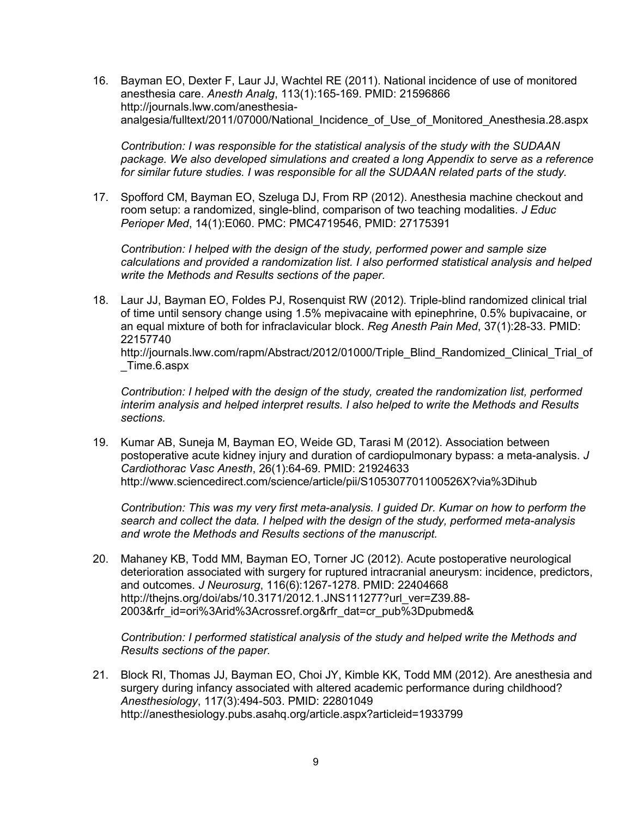16. Bayman EO, Dexter F, Laur JJ, Wachtel RE (2011). National incidence of use of monitored anesthesia care. *Anesth Analg*, 113(1):165-169. PMID: 21596866 http://journals.lww.com/anesthesiaanalgesia/fulltext/2011/07000/National\_Incidence\_of\_Use\_of\_Monitored\_Anesthesia.28.aspx

*Contribution: I was responsible for the statistical analysis of the study with the SUDAAN package. We also developed simulations and created a long Appendix to serve as a reference for similar future studies. I was responsible for all the SUDAAN related parts of the study.*

17. Spofford CM, Bayman EO, Szeluga DJ, From RP (2012). Anesthesia machine checkout and room setup: a randomized, single-blind, comparison of two teaching modalities. *J Educ Perioper Med*, 14(1):E060. PMC: PMC4719546, PMID: 27175391

*Contribution: I helped with the design of the study, performed power and sample size calculations and provided a randomization list. I also performed statistical analysis and helped write the Methods and Results sections of the paper.*

18. Laur JJ, Bayman EO, Foldes PJ, Rosenquist RW (2012). Triple-blind randomized clinical trial of time until sensory change using 1.5% mepivacaine with epinephrine, 0.5% bupivacaine, or an equal mixture of both for infraclavicular block. *Reg Anesth Pain Med*, 37(1):28-33. PMID: 22157740 http://journals.lww.com/rapm/Abstract/2012/01000/Triple\_Blind\_Randomized\_Clinical\_Trial\_of \_Time.6.aspx

*Contribution: I helped with the design of the study, created the randomization list, performed interim analysis and helped interpret results. I also helped to write the Methods and Results sections.*

19. Kumar AB, Suneja M, Bayman EO, Weide GD, Tarasi M (2012). Association between postoperative acute kidney injury and duration of cardiopulmonary bypass: a meta-analysis. *J Cardiothorac Vasc Anesth*, 26(1):64-69. PMID: 21924633 http://www.sciencedirect.com/science/article/pii/S105307701100526X?via%3Dihub

*Contribution: This was my very first meta-analysis. I guided Dr. Kumar on how to perform the search and collect the data. I helped with the design of the study, performed meta-analysis and wrote the Methods and Results sections of the manuscript.*

20. Mahaney KB, Todd MM, Bayman EO, Torner JC (2012). Acute postoperative neurological deterioration associated with surgery for ruptured intracranial aneurysm: incidence, predictors, and outcomes. *J Neurosurg*, 116(6):1267-1278. PMID: 22404668 http://thejns.org/doi/abs/10.3171/2012.1.JNS111277?url\_ver=Z39.88- 2003&rfr\_id=ori%3Arid%3Acrossref.org&rfr\_dat=cr\_pub%3Dpubmed&

*Contribution: I performed statistical analysis of the study and helped write the Methods and Results sections of the paper.*

21. Block RI, Thomas JJ, Bayman EO, Choi JY, Kimble KK, Todd MM (2012). Are anesthesia and surgery during infancy associated with altered academic performance during childhood? *Anesthesiology*, 117(3):494-503. PMID: 22801049 http://anesthesiology.pubs.asahq.org/article.aspx?articleid=1933799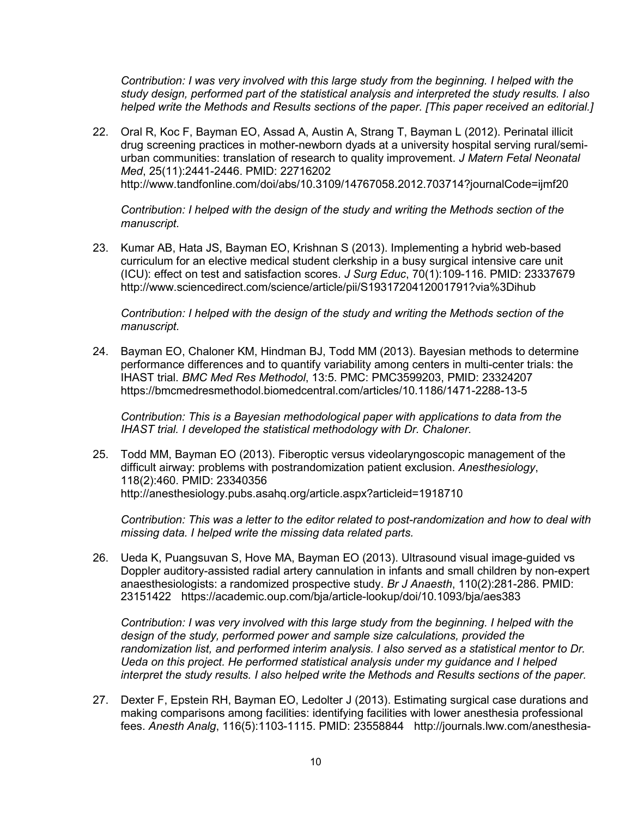*Contribution: I was very involved with this large study from the beginning. I helped with the study design, performed part of the statistical analysis and interpreted the study results. I also helped write the Methods and Results sections of the paper. [This paper received an editorial.]*

22. Oral R, Koc F, Bayman EO, Assad A, Austin A, Strang T, Bayman L (2012). Perinatal illicit drug screening practices in mother-newborn dyads at a university hospital serving rural/semiurban communities: translation of research to quality improvement. *J Matern Fetal Neonatal Med*, 25(11):2441-2446. PMID: 22716202 http://www.tandfonline.com/doi/abs/10.3109/14767058.2012.703714?journalCode=ijmf20

*Contribution: I helped with the design of the study and writing the Methods section of the manuscript.*

23. Kumar AB, Hata JS, Bayman EO, Krishnan S (2013). Implementing a hybrid web-based curriculum for an elective medical student clerkship in a busy surgical intensive care unit (ICU): effect on test and satisfaction scores. *J Surg Educ*, 70(1):109-116. PMID: 23337679 http://www.sciencedirect.com/science/article/pii/S1931720412001791?via%3Dihub

*Contribution: I helped with the design of the study and writing the Methods section of the manuscript.*

24. Bayman EO, Chaloner KM, Hindman BJ, Todd MM (2013). Bayesian methods to determine performance differences and to quantify variability among centers in multi-center trials: the IHAST trial. *BMC Med Res Methodol*, 13:5. PMC: PMC3599203, PMID: 23324207 https://bmcmedresmethodol.biomedcentral.com/articles/10.1186/1471-2288-13-5

*Contribution: This is a Bayesian methodological paper with applications to data from the IHAST trial. I developed the statistical methodology with Dr. Chaloner.*

25. Todd MM, Bayman EO (2013). Fiberoptic versus videolaryngoscopic management of the difficult airway: problems with postrandomization patient exclusion. *Anesthesiology*, 118(2):460. PMID: 23340356 http://anesthesiology.pubs.asahq.org/article.aspx?articleid=1918710

*Contribution: This was a letter to the editor related to post-randomization and how to deal with missing data. I helped write the missing data related parts.*

26. Ueda K, Puangsuvan S, Hove MA, Bayman EO (2013). Ultrasound visual image-guided vs Doppler auditory-assisted radial artery cannulation in infants and small children by non-expert anaesthesiologists: a randomized prospective study. *Br J Anaesth*, 110(2):281-286. PMID: 23151422 https://academic.oup.com/bja/article-lookup/doi/10.1093/bja/aes383

*Contribution: I was very involved with this large study from the beginning. I helped with the design of the study, performed power and sample size calculations, provided the randomization list, and performed interim analysis. I also served as a statistical mentor to Dr. Ueda on this project. He performed statistical analysis under my guidance and I helped interpret the study results. I also helped write the Methods and Results sections of the paper.*

27. Dexter F, Epstein RH, Bayman EO, Ledolter J (2013). Estimating surgical case durations and making comparisons among facilities: identifying facilities with lower anesthesia professional fees. *Anesth Analg*, 116(5):1103-1115. PMID: 23558844 http://journals.lww.com/anesthesia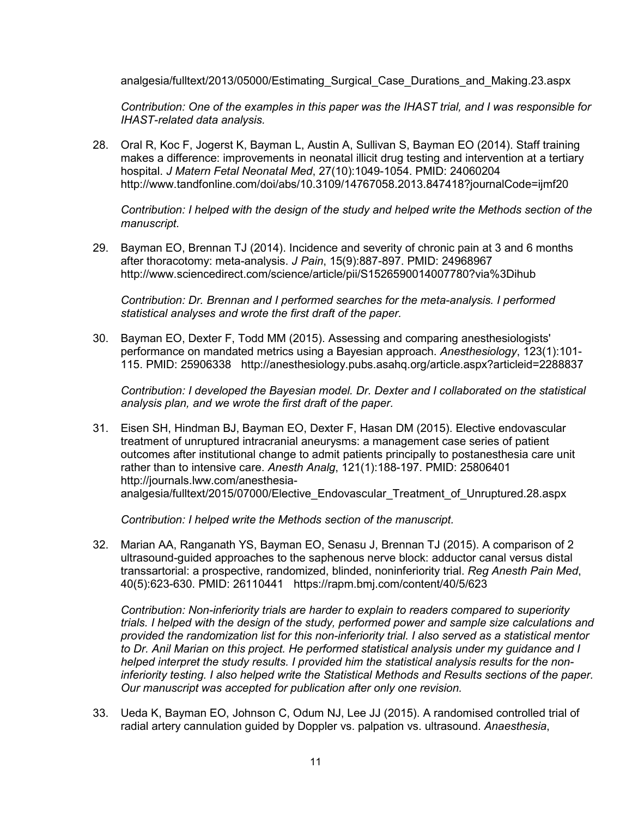analgesia/fulltext/2013/05000/Estimating\_Surgical\_Case\_Durations\_and\_Making.23.aspx

*Contribution: One of the examples in this paper was the IHAST trial, and I was responsible for IHAST-related data analysis.*

28. Oral R, Koc F, Jogerst K, Bayman L, Austin A, Sullivan S, Bayman EO (2014). Staff training makes a difference: improvements in neonatal illicit drug testing and intervention at a tertiary hospital. *J Matern Fetal Neonatal Med*, 27(10):1049-1054. PMID: 24060204 http://www.tandfonline.com/doi/abs/10.3109/14767058.2013.847418?journalCode=ijmf20

*Contribution: I helped with the design of the study and helped write the Methods section of the manuscript.*

29. Bayman EO, Brennan TJ (2014). Incidence and severity of chronic pain at 3 and 6 months after thoracotomy: meta-analysis. *J Pain*, 15(9):887-897. PMID: 24968967 http://www.sciencedirect.com/science/article/pii/S1526590014007780?via%3Dihub

*Contribution: Dr. Brennan and I performed searches for the meta-analysis. I performed statistical analyses and wrote the first draft of the paper.*

30. Bayman EO, Dexter F, Todd MM (2015). Assessing and comparing anesthesiologists' performance on mandated metrics using a Bayesian approach. *Anesthesiology*, 123(1):101- 115. PMID: 25906338 http://anesthesiology.pubs.asahq.org/article.aspx?articleid=2288837

*Contribution: I developed the Bayesian model. Dr. Dexter and I collaborated on the statistical analysis plan, and we wrote the first draft of the paper.*

31. Eisen SH, Hindman BJ, Bayman EO, Dexter F, Hasan DM (2015). Elective endovascular treatment of unruptured intracranial aneurysms: a management case series of patient outcomes after institutional change to admit patients principally to postanesthesia care unit rather than to intensive care. *Anesth Analg*, 121(1):188-197. PMID: 25806401 http://journals.lww.com/anesthesiaanalgesia/fulltext/2015/07000/Elective\_Endovascular\_Treatment\_of\_Unruptured.28.aspx

*Contribution: I helped write the Methods section of the manuscript.*

32. Marian AA, Ranganath YS, Bayman EO, Senasu J, Brennan TJ (2015). A comparison of 2 ultrasound-guided approaches to the saphenous nerve block: adductor canal versus distal transsartorial: a prospective, randomized, blinded, noninferiority trial. *Reg Anesth Pain Med*, 40(5):623-630. PMID: 26110441 https://rapm.bmj.com/content/40/5/623

*Contribution: Non-inferiority trials are harder to explain to readers compared to superiority trials. I helped with the design of the study, performed power and sample size calculations and provided the randomization list for this non-inferiority trial. I also served as a statistical mentor to Dr. Anil Marian on this project. He performed statistical analysis under my guidance and I helped interpret the study results. I provided him the statistical analysis results for the noninferiority testing. I also helped write the Statistical Methods and Results sections of the paper. Our manuscript was accepted for publication after only one revision.*

33. Ueda K, Bayman EO, Johnson C, Odum NJ, Lee JJ (2015). A randomised controlled trial of radial artery cannulation guided by Doppler vs. palpation vs. ultrasound. *Anaesthesia*,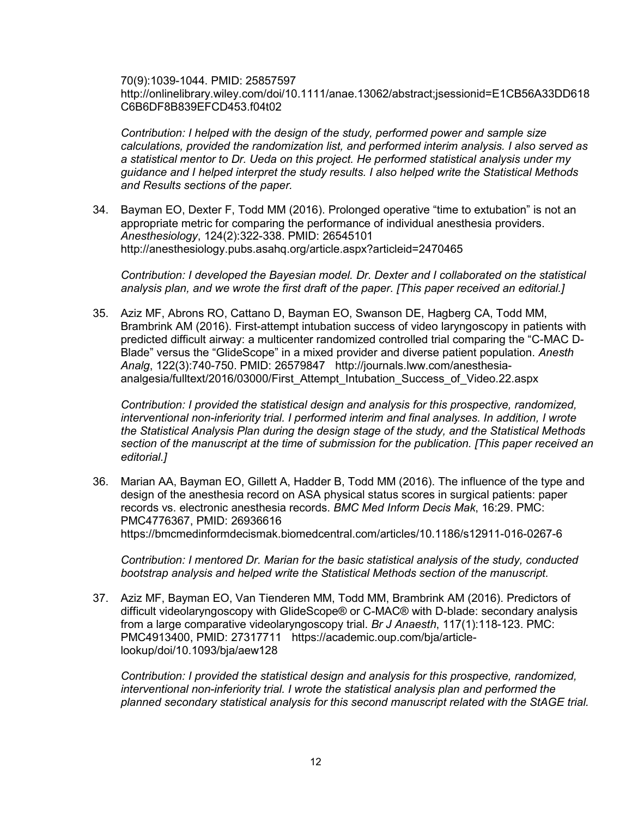70(9):1039-1044. PMID: 25857597 http://onlinelibrary.wiley.com/doi/10.1111/anae.13062/abstract;jsessionid=E1CB56A33DD618 C6B6DF8B839EFCD453.f04t02

*Contribution: I helped with the design of the study, performed power and sample size calculations, provided the randomization list, and performed interim analysis. I also served as a statistical mentor to Dr. Ueda on this project. He performed statistical analysis under my guidance and I helped interpret the study results. I also helped write the Statistical Methods and Results sections of the paper.*

34. Bayman EO, Dexter F, Todd MM (2016). Prolonged operative "time to extubation" is not an appropriate metric for comparing the performance of individual anesthesia providers. *Anesthesiology*, 124(2):322-338. PMID: 26545101 http://anesthesiology.pubs.asahq.org/article.aspx?articleid=2470465

*Contribution: I developed the Bayesian model. Dr. Dexter and I collaborated on the statistical analysis plan, and we wrote the first draft of the paper. [This paper received an editorial.]*

35. Aziz MF, Abrons RO, Cattano D, Bayman EO, Swanson DE, Hagberg CA, Todd MM, Brambrink AM (2016). First-attempt intubation success of video laryngoscopy in patients with predicted difficult airway: a multicenter randomized controlled trial comparing the "C-MAC D-Blade" versus the "GlideScope" in a mixed provider and diverse patient population. *Anesth Analg*, 122(3):740-750. PMID: 26579847 http://journals.lww.com/anesthesiaanalgesia/fulltext/2016/03000/First\_Attempt\_Intubation\_Success\_of\_Video.22.aspx

*Contribution: I provided the statistical design and analysis for this prospective, randomized, interventional non-inferiority trial. I performed interim and final analyses. In addition, I wrote the Statistical Analysis Plan during the design stage of the study, and the Statistical Methods section of the manuscript at the time of submission for the publication. [This paper received an editorial.]*

36. Marian AA, Bayman EO, Gillett A, Hadder B, Todd MM (2016). The influence of the type and design of the anesthesia record on ASA physical status scores in surgical patients: paper records vs. electronic anesthesia records. *BMC Med Inform Decis Mak*, 16:29. PMC: PMC4776367, PMID: 26936616 https://bmcmedinformdecismak.biomedcentral.com/articles/10.1186/s12911-016-0267-6

*Contribution: I mentored Dr. Marian for the basic statistical analysis of the study, conducted bootstrap analysis and helped write the Statistical Methods section of the manuscript.*

37. Aziz MF, Bayman EO, Van Tienderen MM, Todd MM, Brambrink AM (2016). Predictors of difficult videolaryngoscopy with GlideScope® or C-MAC® with D-blade: secondary analysis from a large comparative videolaryngoscopy trial. *Br J Anaesth*, 117(1):118-123. PMC: PMC4913400, PMID: 27317711 https://academic.oup.com/bja/articlelookup/doi/10.1093/bja/aew128

*Contribution: I provided the statistical design and analysis for this prospective, randomized, interventional non-inferiority trial. I wrote the statistical analysis plan and performed the planned secondary statistical analysis for this second manuscript related with the StAGE trial.*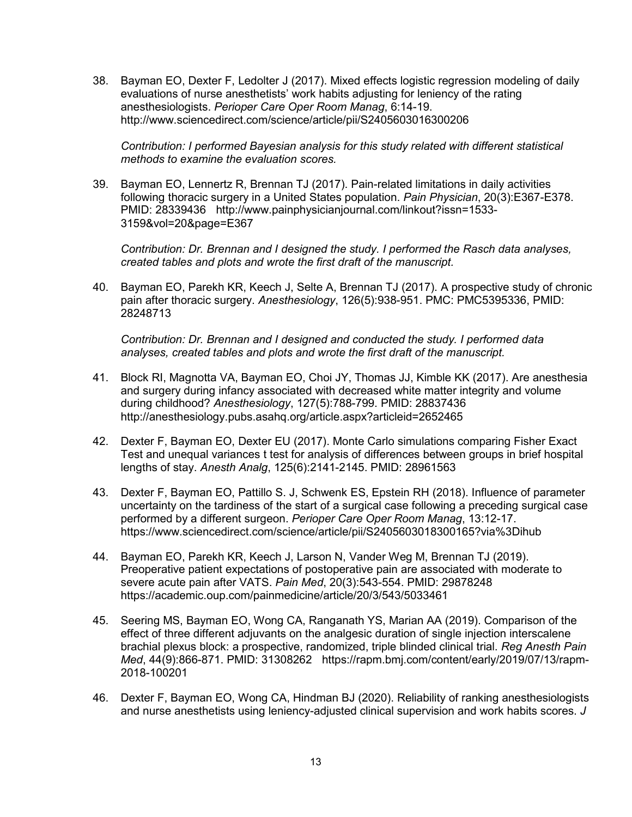38. Bayman EO, Dexter F, Ledolter J (2017). Mixed effects logistic regression modeling of daily evaluations of nurse anesthetists' work habits adjusting for leniency of the rating anesthesiologists. *Perioper Care Oper Room Manag*, 6:14-19. http://www.sciencedirect.com/science/article/pii/S2405603016300206

*Contribution: I performed Bayesian analysis for this study related with different statistical methods to examine the evaluation scores.*

39. Bayman EO, Lennertz R, Brennan TJ (2017). Pain-related limitations in daily activities following thoracic surgery in a United States population. *Pain Physician*, 20(3):E367-E378. PMID: 28339436 http://www.painphysicianjournal.com/linkout?issn=1533- 3159&vol=20&page=E367

*Contribution: Dr. Brennan and I designed the study. I performed the Rasch data analyses, created tables and plots and wrote the first draft of the manuscript.*

40. Bayman EO, Parekh KR, Keech J, Selte A, Brennan TJ (2017). A prospective study of chronic pain after thoracic surgery. *Anesthesiology*, 126(5):938-951. PMC: PMC5395336, PMID: 28248713

*Contribution: Dr. Brennan and I designed and conducted the study. I performed data analyses, created tables and plots and wrote the first draft of the manuscript.*

- 41. Block RI, Magnotta VA, Bayman EO, Choi JY, Thomas JJ, Kimble KK (2017). Are anesthesia and surgery during infancy associated with decreased white matter integrity and volume during childhood? *Anesthesiology*, 127(5):788-799. PMID: 28837436 http://anesthesiology.pubs.asahq.org/article.aspx?articleid=2652465
- 42. Dexter F, Bayman EO, Dexter EU (2017). Monte Carlo simulations comparing Fisher Exact Test and unequal variances t test for analysis of differences between groups in brief hospital lengths of stay. *Anesth Analg*, 125(6):2141-2145. PMID: 28961563
- 43. Dexter F, Bayman EO, Pattillo S. J, Schwenk ES, Epstein RH (2018). Influence of parameter uncertainty on the tardiness of the start of a surgical case following a preceding surgical case performed by a different surgeon. *Perioper Care Oper Room Manag*, 13:12-17. https://www.sciencedirect.com/science/article/pii/S2405603018300165?via%3Dihub
- 44. Bayman EO, Parekh KR, Keech J, Larson N, Vander Weg M, Brennan TJ (2019). Preoperative patient expectations of postoperative pain are associated with moderate to severe acute pain after VATS. *Pain Med*, 20(3):543-554. PMID: 29878248 https://academic.oup.com/painmedicine/article/20/3/543/5033461
- 45. Seering MS, Bayman EO, Wong CA, Ranganath YS, Marian AA (2019). Comparison of the effect of three different adjuvants on the analgesic duration of single injection interscalene brachial plexus block: a prospective, randomized, triple blinded clinical trial. *Reg Anesth Pain Med*, 44(9):866-871. PMID: 31308262 https://rapm.bmj.com/content/early/2019/07/13/rapm-2018-100201
- 46. Dexter F, Bayman EO, Wong CA, Hindman BJ (2020). Reliability of ranking anesthesiologists and nurse anesthetists using leniency-adjusted clinical supervision and work habits scores. *J*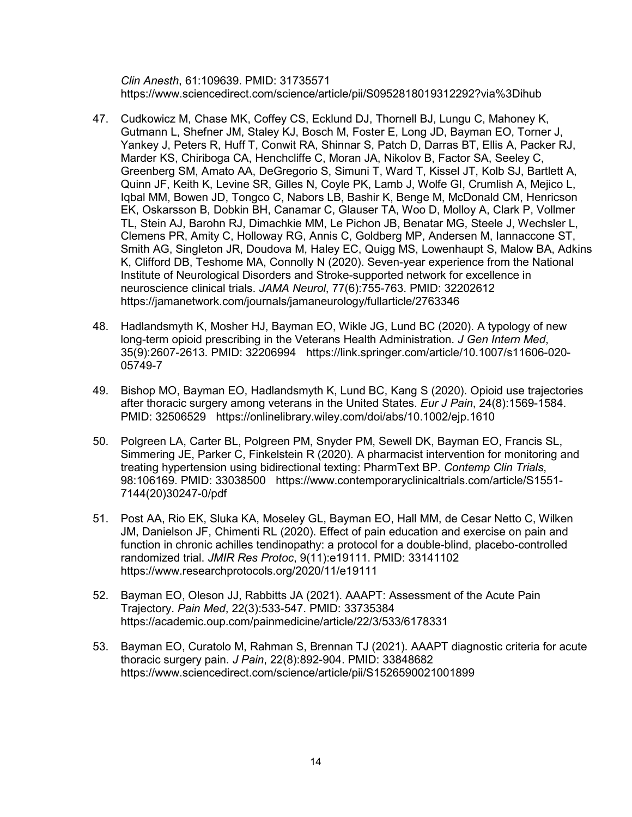*Clin Anesth*, 61:109639. PMID: 31735571 https://www.sciencedirect.com/science/article/pii/S0952818019312292?via%3Dihub

- 47. Cudkowicz M, Chase MK, Coffey CS, Ecklund DJ, Thornell BJ, Lungu C, Mahoney K, Gutmann L, Shefner JM, Staley KJ, Bosch M, Foster E, Long JD, Bayman EO, Torner J, Yankey J, Peters R, Huff T, Conwit RA, Shinnar S, Patch D, Darras BT, Ellis A, Packer RJ, Marder KS, Chiriboga CA, Henchcliffe C, Moran JA, Nikolov B, Factor SA, Seeley C, Greenberg SM, Amato AA, DeGregorio S, Simuni T, Ward T, Kissel JT, Kolb SJ, Bartlett A, Quinn JF, Keith K, Levine SR, Gilles N, Coyle PK, Lamb J, Wolfe GI, Crumlish A, Mejico L, Iqbal MM, Bowen JD, Tongco C, Nabors LB, Bashir K, Benge M, McDonald CM, Henricson EK, Oskarsson B, Dobkin BH, Canamar C, Glauser TA, Woo D, Molloy A, Clark P, Vollmer TL, Stein AJ, Barohn RJ, Dimachkie MM, Le Pichon JB, Benatar MG, Steele J, Wechsler L, Clemens PR, Amity C, Holloway RG, Annis C, Goldberg MP, Andersen M, Iannaccone ST, Smith AG, Singleton JR, Doudova M, Haley EC, Quigg MS, Lowenhaupt S, Malow BA, Adkins K, Clifford DB, Teshome MA, Connolly N (2020). Seven-year experience from the National Institute of Neurological Disorders and Stroke-supported network for excellence in neuroscience clinical trials. *JAMA Neurol*, 77(6):755-763. PMID: 32202612 https://jamanetwork.com/journals/jamaneurology/fullarticle/2763346
- 48. Hadlandsmyth K, Mosher HJ, Bayman EO, Wikle JG, Lund BC (2020). A typology of new long-term opioid prescribing in the Veterans Health Administration. *J Gen Intern Med*, 35(9):2607-2613. PMID: 32206994 https://link.springer.com/article/10.1007/s11606-020- 05749-7
- 49. Bishop MO, Bayman EO, Hadlandsmyth K, Lund BC, Kang S (2020). Opioid use trajectories after thoracic surgery among veterans in the United States. *Eur J Pain*, 24(8):1569-1584. PMID: 32506529 https://onlinelibrary.wiley.com/doi/abs/10.1002/ejp.1610
- 50. Polgreen LA, Carter BL, Polgreen PM, Snyder PM, Sewell DK, Bayman EO, Francis SL, Simmering JE, Parker C, Finkelstein R (2020). A pharmacist intervention for monitoring and treating hypertension using bidirectional texting: PharmText BP. *Contemp Clin Trials*, 98:106169. PMID: 33038500 https://www.contemporaryclinicaltrials.com/article/S1551- 7144(20)30247-0/pdf
- 51. Post AA, Rio EK, Sluka KA, Moseley GL, Bayman EO, Hall MM, de Cesar Netto C, Wilken JM, Danielson JF, Chimenti RL (2020). Effect of pain education and exercise on pain and function in chronic achilles tendinopathy: a protocol for a double-blind, placebo-controlled randomized trial. *JMIR Res Protoc*, 9(11):e19111. PMID: 33141102 https://www.researchprotocols.org/2020/11/e19111
- 52. Bayman EO, Oleson JJ, Rabbitts JA (2021). AAAPT: Assessment of the Acute Pain Trajectory. *Pain Med*, 22(3):533-547. PMID: 33735384 https://academic.oup.com/painmedicine/article/22/3/533/6178331
- 53. Bayman EO, Curatolo M, Rahman S, Brennan TJ (2021). AAAPT diagnostic criteria for acute thoracic surgery pain. *J Pain*, 22(8):892-904. PMID: 33848682 https://www.sciencedirect.com/science/article/pii/S1526590021001899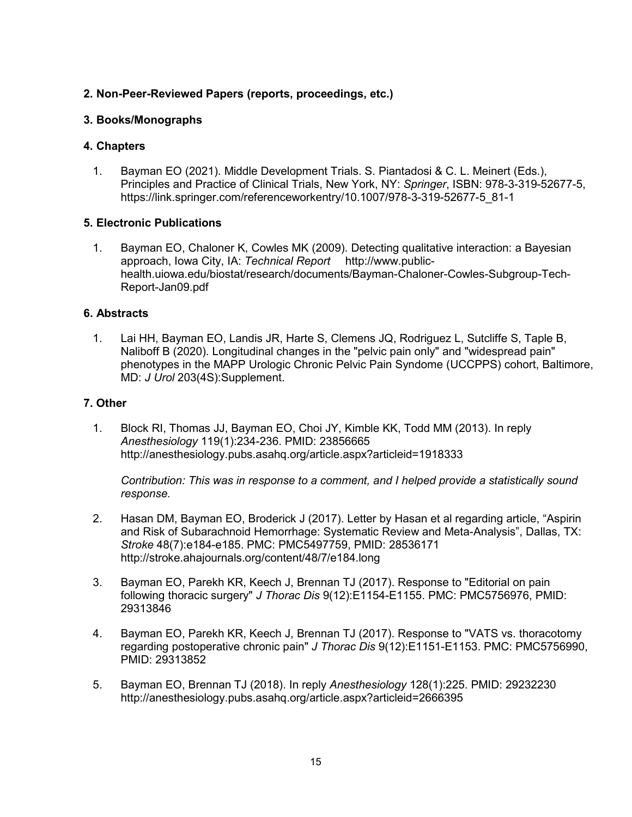### **2. Non-Peer-Reviewed Papers (reports, proceedings, etc.)**

#### **3. Books/Monographs**

#### **4. Chapters**

1. Bayman EO (2021). Middle Development Trials. S. Piantadosi & C. L. Meinert (Eds.), Principles and Practice of Clinical Trials, New York, NY: *Springer*, ISBN: 978-3-319-52677-5, https://link.springer.com/referenceworkentry/10.1007/978-3-319-52677-5\_81-1

#### **5. Electronic Publications**

1. Bayman EO, Chaloner K, Cowles MK (2009). Detecting qualitative interaction: a Bayesian approach, Iowa City, IA: *Technical Report* http://www.publichealth.uiowa.edu/biostat/research/documents/Bayman-Chaloner-Cowles-Subgroup-Tech-Report-Jan09.pdf

### **6. Abstracts**

1. Lai HH, Bayman EO, Landis JR, Harte S, Clemens JQ, Rodriguez L, Sutcliffe S, Taple B, Naliboff B (2020). Longitudinal changes in the "pelvic pain only" and "widespread pain" phenotypes in the MAPP Urologic Chronic Pelvic Pain Syndome (UCCPPS) cohort, Baltimore, MD: *J Urol* 203(4S):Supplement.

#### **7. Other**

1. Block RI, Thomas JJ, Bayman EO, Choi JY, Kimble KK, Todd MM (2013). In reply *Anesthesiology* 119(1):234-236. PMID: 23856665 http://anesthesiology.pubs.asahq.org/article.aspx?articleid=1918333

*Contribution: This was in response to a comment, and I helped provide a statistically sound response.*

- 2. Hasan DM, Bayman EO, Broderick J (2017). Letter by Hasan et al regarding article, "Aspirin and Risk of Subarachnoid Hemorrhage: Systematic Review and Meta-Analysis", Dallas, TX: *Stroke* 48(7):e184-e185. PMC: PMC5497759, PMID: 28536171 http://stroke.ahajournals.org/content/48/7/e184.long
- 3. Bayman EO, Parekh KR, Keech J, Brennan TJ (2017). Response to "Editorial on pain following thoracic surgery" *J Thorac Dis* 9(12):E1154-E1155. PMC: PMC5756976, PMID: 29313846
- 4. Bayman EO, Parekh KR, Keech J, Brennan TJ (2017). Response to "VATS vs. thoracotomy regarding postoperative chronic pain" *J Thorac Dis* 9(12):E1151-E1153. PMC: PMC5756990, PMID: 29313852
- 5. Bayman EO, Brennan TJ (2018). In reply *Anesthesiology* 128(1):225. PMID: 29232230 http://anesthesiology.pubs.asahq.org/article.aspx?articleid=2666395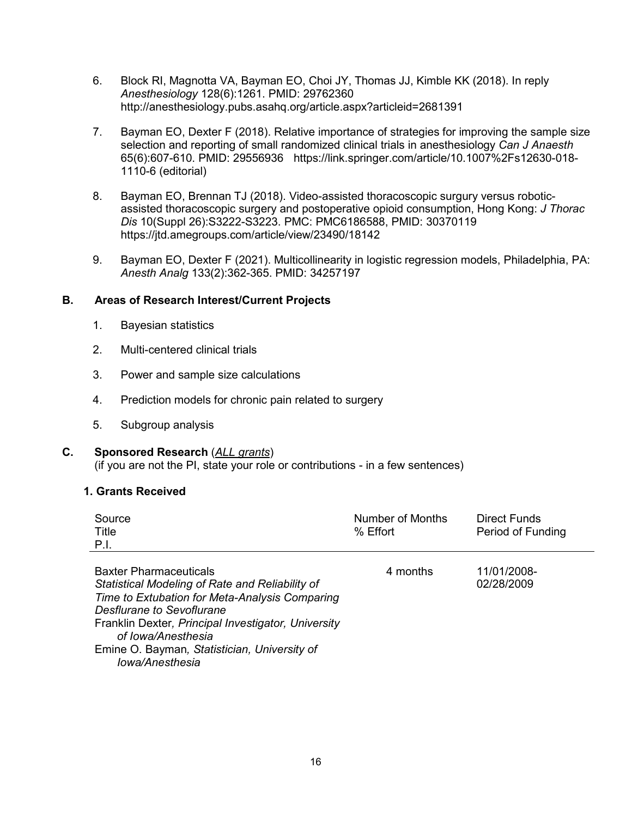- 6. Block RI, Magnotta VA, Bayman EO, Choi JY, Thomas JJ, Kimble KK (2018). In reply *Anesthesiology* 128(6):1261. PMID: 29762360 http://anesthesiology.pubs.asahq.org/article.aspx?articleid=2681391
- 7. Bayman EO, Dexter F (2018). Relative importance of strategies for improving the sample size selection and reporting of small randomized clinical trials in anesthesiology *Can J Anaesth* 65(6):607-610. PMID: 29556936 https://link.springer.com/article/10.1007%2Fs12630-018- 1110-6 (editorial)
- 8. Bayman EO, Brennan TJ (2018). Video-assisted thoracoscopic surgury versus roboticassisted thoracoscopic surgery and postoperative opioid consumption, Hong Kong: *J Thorac Dis* 10(Suppl 26):S3222-S3223. PMC: PMC6186588, PMID: 30370119 https://jtd.amegroups.com/article/view/23490/18142
- 9. Bayman EO, Dexter F (2021). Multicollinearity in logistic regression models, Philadelphia, PA: *Anesth Analg* 133(2):362-365. PMID: 34257197

#### **B. Areas of Research Interest/Current Projects**

- 1. Bayesian statistics
- 2. Multi-centered clinical trials
- 3. Power and sample size calculations
- 4. Prediction models for chronic pain related to surgery
- 5. Subgroup analysis

#### **C. Sponsored Research** (*ALL grants*)

(if you are not the PI, state your role or contributions - in a few sentences)

#### **1. Grants Received**

| Source<br>Title<br>P.I. | Number of Months<br>% Effort | Direct Funds<br>Period of Funding |
|-------------------------|------------------------------|-----------------------------------|
|                         |                              |                                   |

| <b>Baxter Pharmaceuticals</b>                       | 4 months | 11/01/2008- |  |
|-----------------------------------------------------|----------|-------------|--|
| Statistical Modeling of Rate and Reliability of     |          | 02/28/2009  |  |
| Time to Extubation for Meta-Analysis Comparing      |          |             |  |
| Desflurane to Sevoflurane                           |          |             |  |
| Franklin Dexter, Principal Investigator, University |          |             |  |
| of Iowa/Anesthesia                                  |          |             |  |
| Emine O. Bayman, Statistician, University of        |          |             |  |
| Iowa/Anesthesia                                     |          |             |  |
|                                                     |          |             |  |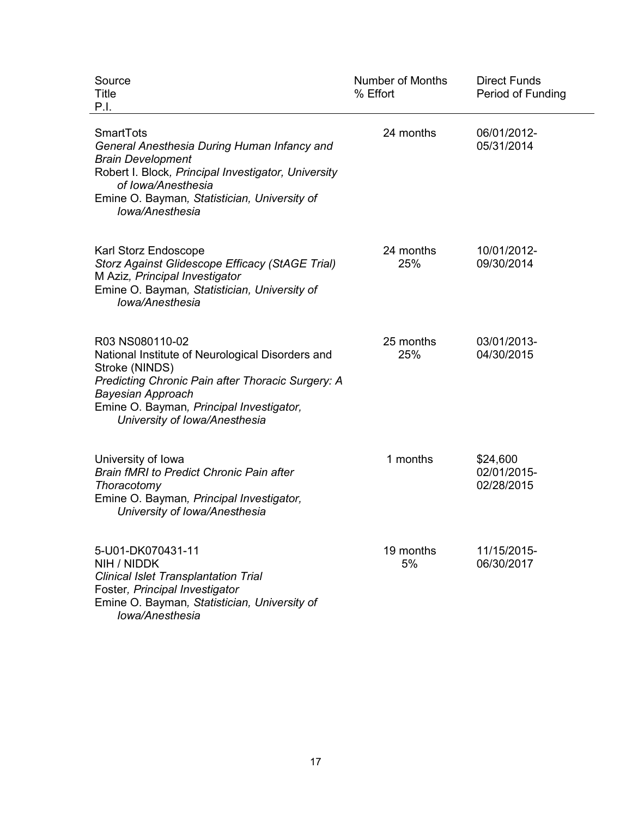| Source<br>Title<br>P.I.                                                                                                                                                                                                                             | <b>Number of Months</b><br>% Effort | <b>Direct Funds</b><br>Period of Funding |
|-----------------------------------------------------------------------------------------------------------------------------------------------------------------------------------------------------------------------------------------------------|-------------------------------------|------------------------------------------|
| SmartTots<br>General Anesthesia During Human Infancy and<br><b>Brain Development</b><br>Robert I. Block, Principal Investigator, University<br>of Iowa/Anesthesia<br>Emine O. Bayman, Statistician, University of<br>Iowa/Anesthesia                | 24 months                           | 06/01/2012-<br>05/31/2014                |
| Karl Storz Endoscope<br><b>Storz Against Glidescope Efficacy (StAGE Trial)</b><br>M Aziz, Principal Investigator<br>Emine O. Bayman, Statistician, University of<br>Iowa/Anesthesia                                                                 | 24 months<br>25%                    | 10/01/2012-<br>09/30/2014                |
| R03 NS080110-02<br>National Institute of Neurological Disorders and<br>Stroke (NINDS)<br>Predicting Chronic Pain after Thoracic Surgery: A<br><b>Bayesian Approach</b><br>Emine O. Bayman, Principal Investigator,<br>University of Iowa/Anesthesia | 25 months<br>25%                    | 03/01/2013-<br>04/30/2015                |
| University of Iowa<br><b>Brain fMRI to Predict Chronic Pain after</b><br>Thoracotomy<br>Emine O. Bayman, Principal Investigator,<br>University of Iowa/Anesthesia                                                                                   | 1 months                            | \$24,600<br>02/01/2015-<br>02/28/2015    |
| 5-U01-DK070431-11<br>NIH / NIDDK<br><b>Clinical Islet Transplantation Trial</b><br>Foster, Principal Investigator<br>Emine O. Bayman, Statistician, University of<br>Iowa/Anesthesia                                                                | 19 months<br>5%                     | 11/15/2015-<br>06/30/2017                |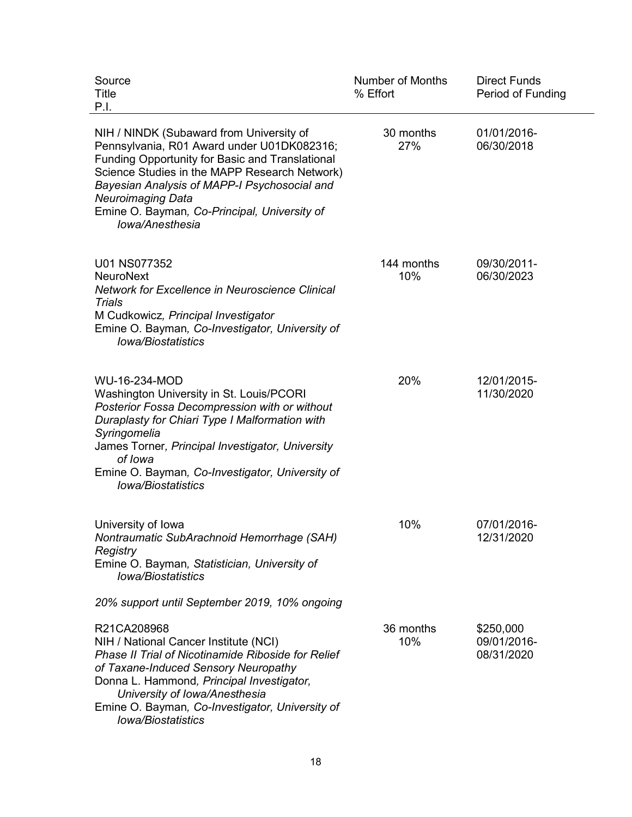| Source<br>Title<br>P.I.                                                                                                                                                                                                                                                                                                                          | <b>Number of Months</b><br>% Effort | <b>Direct Funds</b><br>Period of Funding |
|--------------------------------------------------------------------------------------------------------------------------------------------------------------------------------------------------------------------------------------------------------------------------------------------------------------------------------------------------|-------------------------------------|------------------------------------------|
| NIH / NINDK (Subaward from University of<br>Pennsylvania, R01 Award under U01DK082316;<br><b>Funding Opportunity for Basic and Translational</b><br>Science Studies in the MAPP Research Network)<br>Bayesian Analysis of MAPP-I Psychosocial and<br><b>Neuroimaging Data</b><br>Emine O. Bayman, Co-Principal, University of<br>Iowa/Anesthesia | 30 months<br>27%                    | 01/01/2016-<br>06/30/2018                |
| U01 NS077352<br><b>NeuroNext</b><br><b>Network for Excellence in Neuroscience Clinical</b><br><b>Trials</b><br>M Cudkowicz, Principal Investigator<br>Emine O. Bayman, Co-Investigator, University of<br><b>Iowa/Biostatistics</b>                                                                                                               | 144 months<br>10%                   | 09/30/2011-<br>06/30/2023                |
| WU-16-234-MOD<br>Washington University in St. Louis/PCORI<br>Posterior Fossa Decompression with or without<br>Duraplasty for Chiari Type I Malformation with<br>Syringomelia<br>James Torner, Principal Investigator, University<br>of Iowa<br>Emine O. Bayman, Co-Investigator, University of<br><b>Iowa/Biostatistics</b>                      | 20%                                 | 12/01/2015-<br>11/30/2020                |
| University of Iowa<br>Nontraumatic SubArachnoid Hemorrhage (SAH)<br>Registry<br>Emine O. Bayman, Statistician, University of<br><b>Iowa/Biostatistics</b>                                                                                                                                                                                        | 10%                                 | 07/01/2016-<br>12/31/2020                |
| 20% support until September 2019, 10% ongoing                                                                                                                                                                                                                                                                                                    |                                     |                                          |
| R21CA208968<br>NIH / National Cancer Institute (NCI)<br>Phase II Trial of Nicotinamide Riboside for Relief<br>of Taxane-Induced Sensory Neuropathy<br>Donna L. Hammond, Principal Investigator,<br>University of Iowa/Anesthesia<br>Emine O. Bayman, Co-Investigator, University of<br><b>Iowa/Biostatistics</b>                                 | 36 months<br>10%                    | \$250,000<br>09/01/2016-<br>08/31/2020   |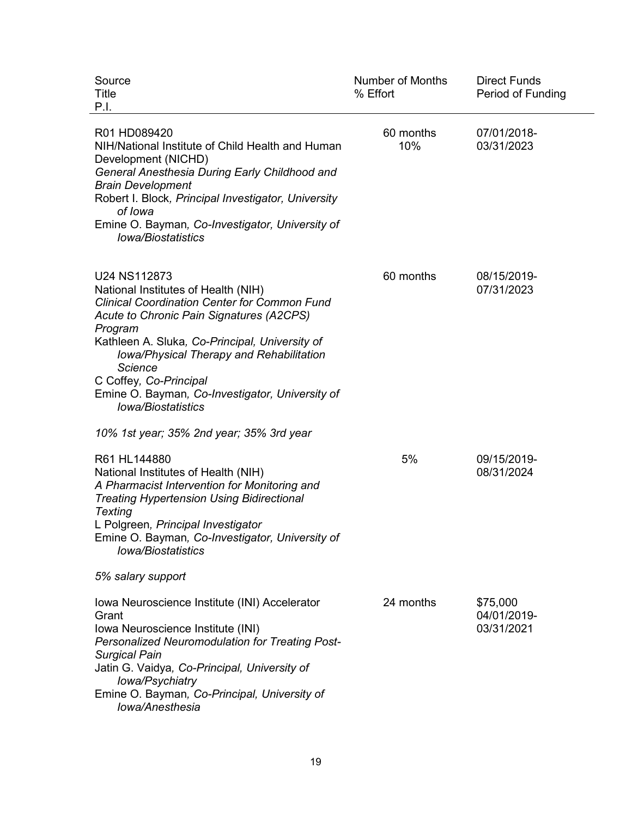| Source<br>Title<br>P.I.                                                                                                                                                                                                                                                                                                                                                                     | <b>Number of Months</b><br>% Effort | <b>Direct Funds</b><br>Period of Funding |
|---------------------------------------------------------------------------------------------------------------------------------------------------------------------------------------------------------------------------------------------------------------------------------------------------------------------------------------------------------------------------------------------|-------------------------------------|------------------------------------------|
| R01 HD089420<br>NIH/National Institute of Child Health and Human<br>Development (NICHD)<br>General Anesthesia During Early Childhood and<br><b>Brain Development</b><br>Robert I. Block, Principal Investigator, University<br>of Iowa<br>Emine O. Bayman, Co-Investigator, University of<br><b>Iowa/Biostatistics</b>                                                                      | 60 months<br>10%                    | 07/01/2018-<br>03/31/2023                |
| U24 NS112873<br>National Institutes of Health (NIH)<br><b>Clinical Coordination Center for Common Fund</b><br>Acute to Chronic Pain Signatures (A2CPS)<br>Program<br>Kathleen A. Sluka, Co-Principal, University of<br>Iowa/Physical Therapy and Rehabilitation<br><b>Science</b><br>C Coffey, Co-Principal<br>Emine O. Bayman, Co-Investigator, University of<br><b>Iowa/Biostatistics</b> | 60 months                           | 08/15/2019-<br>07/31/2023                |
| 10% 1st year; 35% 2nd year; 35% 3rd year                                                                                                                                                                                                                                                                                                                                                    |                                     |                                          |
| R61 HL144880<br>National Institutes of Health (NIH)<br>A Pharmacist Intervention for Monitoring and<br><b>Treating Hypertension Using Bidirectional</b><br><b>Texting</b><br>L Polgreen, Principal Investigator<br>Emine O. Bayman, Co-Investigator, University of<br><b>lowa/Biostatistics</b>                                                                                             | 5%                                  | 09/15/2019-<br>08/31/2024                |
| 5% salary support                                                                                                                                                                                                                                                                                                                                                                           |                                     |                                          |
| Iowa Neuroscience Institute (INI) Accelerator<br>Grant<br>Iowa Neuroscience Institute (INI)<br>Personalized Neuromodulation for Treating Post-<br><b>Surgical Pain</b><br>Jatin G. Vaidya, Co-Principal, University of<br>Iowa/Psychiatry<br>Emine O. Bayman, Co-Principal, University of<br>Iowa/Anesthesia                                                                                | 24 months                           | \$75,000<br>04/01/2019-<br>03/31/2021    |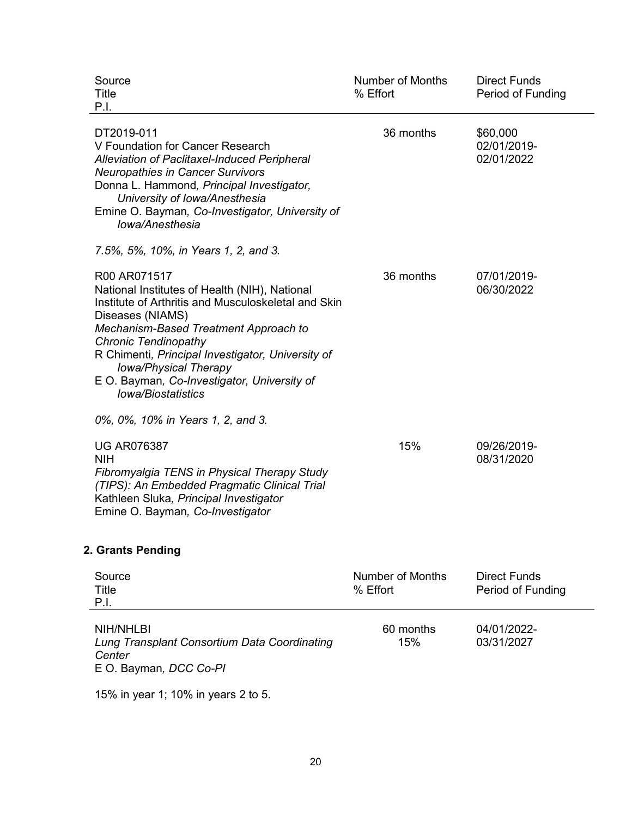| Source<br>Title<br>P.I.                                                                                                                                                                                                                                                                                                                                                    | <b>Number of Months</b><br>% Effort | <b>Direct Funds</b><br>Period of Funding |
|----------------------------------------------------------------------------------------------------------------------------------------------------------------------------------------------------------------------------------------------------------------------------------------------------------------------------------------------------------------------------|-------------------------------------|------------------------------------------|
| DT2019-011<br>V Foundation for Cancer Research<br>Alleviation of Paclitaxel-Induced Peripheral<br><b>Neuropathies in Cancer Survivors</b><br>Donna L. Hammond, Principal Investigator,<br>University of Iowa/Anesthesia<br>Emine O. Bayman, Co-Investigator, University of<br>Iowa/Anesthesia                                                                              | 36 months                           | \$60,000<br>02/01/2019-<br>02/01/2022    |
| 7.5%, 5%, 10%, in Years 1, 2, and 3.                                                                                                                                                                                                                                                                                                                                       |                                     |                                          |
| R00 AR071517<br>National Institutes of Health (NIH), National<br>Institute of Arthritis and Musculoskeletal and Skin<br>Diseases (NIAMS)<br>Mechanism-Based Treatment Approach to<br><b>Chronic Tendinopathy</b><br>R Chimenti, Principal Investigator, University of<br>Iowa/Physical Therapy<br>E O. Bayman, Co-Investigator, University of<br><b>lowa/Biostatistics</b> | 36 months                           | 07/01/2019-<br>06/30/2022                |
| 0%, 0%, 10% in Years 1, 2, and 3.                                                                                                                                                                                                                                                                                                                                          |                                     |                                          |
| <b>UG AR076387</b><br><b>NIH</b><br>Fibromyalgia TENS in Physical Therapy Study<br>(TIPS): An Embedded Pragmatic Clinical Trial<br>Kathleen Sluka, Principal Investigator<br>Emine O. Bayman, Co-Investigator                                                                                                                                                              | 15%                                 | 09/26/2019-<br>08/31/2020                |
| 2. Grants Pending                                                                                                                                                                                                                                                                                                                                                          |                                     |                                          |
| Source                                                                                                                                                                                                                                                                                                                                                                     | <b>Number of Months</b>             | <b>Direct Funds</b>                      |

| Title<br>P.I.                                                                                 | % Effort         | Period of Funding         |
|-----------------------------------------------------------------------------------------------|------------------|---------------------------|
| NIH/NHLBI<br>Lung Transplant Consortium Data Coordinating<br>Center<br>E O. Bayman, DCC Co-PI | 60 months<br>15% | 04/01/2022-<br>03/31/2027 |

15% in year 1; 10% in years 2 to 5.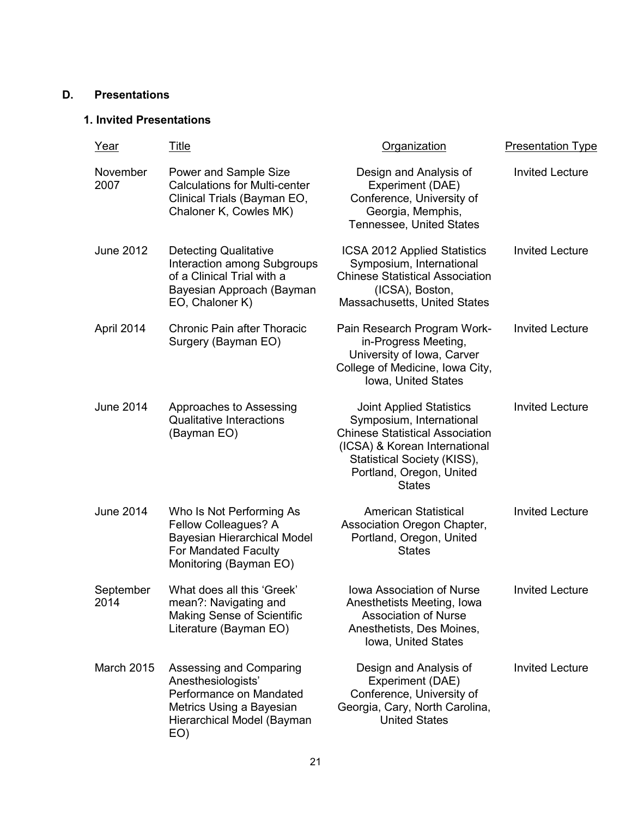### **D. Presentations**

### **1. Invited Presentations**

| Year              | <u>Title</u>                                                                                                                              | Organization                                                                                                                                                                                                       | <b>Presentation Type</b> |
|-------------------|-------------------------------------------------------------------------------------------------------------------------------------------|--------------------------------------------------------------------------------------------------------------------------------------------------------------------------------------------------------------------|--------------------------|
| November<br>2007  | Power and Sample Size<br><b>Calculations for Multi-center</b><br>Clinical Trials (Bayman EO,<br>Chaloner K, Cowles MK)                    | Design and Analysis of<br>Experiment (DAE)<br>Conference, University of<br>Georgia, Memphis,<br><b>Tennessee, United States</b>                                                                                    | <b>Invited Lecture</b>   |
| <b>June 2012</b>  | <b>Detecting Qualitative</b><br>Interaction among Subgroups<br>of a Clinical Trial with a<br>Bayesian Approach (Bayman<br>EO, Chaloner K) | ICSA 2012 Applied Statistics<br>Symposium, International<br><b>Chinese Statistical Association</b><br>(ICSA), Boston,<br>Massachusetts, United States                                                              | <b>Invited Lecture</b>   |
| April 2014        | <b>Chronic Pain after Thoracic</b><br>Surgery (Bayman EO)                                                                                 | Pain Research Program Work-<br>in-Progress Meeting,<br>University of Iowa, Carver<br>College of Medicine, Iowa City,<br>Iowa, United States                                                                        | <b>Invited Lecture</b>   |
| <b>June 2014</b>  | Approaches to Assessing<br><b>Qualitative Interactions</b><br>(Bayman EO)                                                                 | <b>Joint Applied Statistics</b><br>Symposium, International<br><b>Chinese Statistical Association</b><br>(ICSA) & Korean International<br>Statistical Society (KISS),<br>Portland, Oregon, United<br><b>States</b> | <b>Invited Lecture</b>   |
| <b>June 2014</b>  | Who Is Not Performing As<br>Fellow Colleagues? A<br>Bayesian Hierarchical Model<br>For Mandated Faculty<br>Monitoring (Bayman EO)         | <b>American Statistical</b><br>Association Oregon Chapter,<br>Portland, Oregon, United<br><b>States</b>                                                                                                            | <b>Invited Lecture</b>   |
| September<br>2014 | What does all this 'Greek'<br>mean?: Navigating and<br><b>Making Sense of Scientific</b><br>Literature (Bayman EO)                        | <b>Iowa Association of Nurse</b><br>Anesthetists Meeting, Iowa<br><b>Association of Nurse</b><br>Anesthetists, Des Moines,<br>Iowa, United States                                                                  | <b>Invited Lecture</b>   |
| <b>March 2015</b> | Assessing and Comparing<br>Anesthesiologists'<br>Performance on Mandated<br>Metrics Using a Bayesian<br>Hierarchical Model (Bayman<br>EO) | Design and Analysis of<br>Experiment (DAE)<br>Conference, University of<br>Georgia, Cary, North Carolina,<br><b>United States</b>                                                                                  | <b>Invited Lecture</b>   |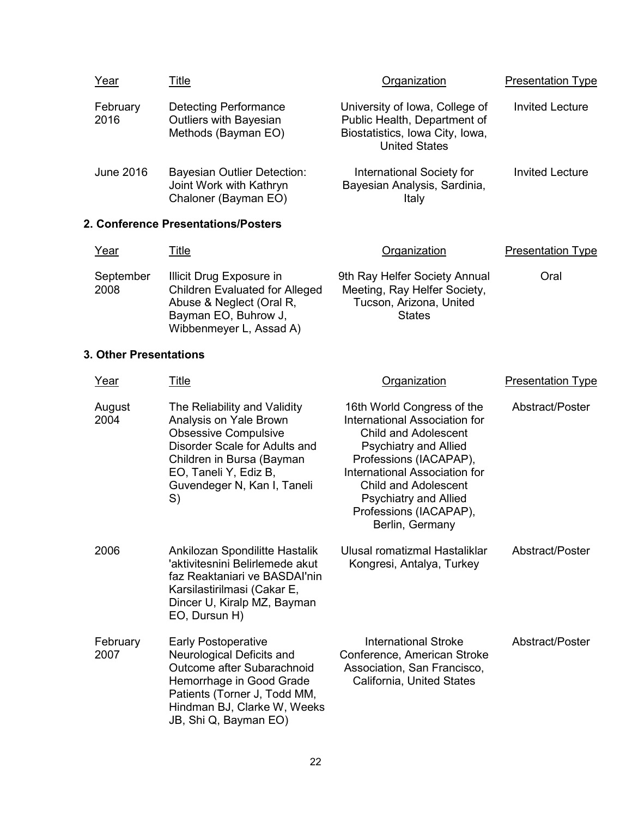| Year             | Title                                                                                 | Organization                                                                                                              | <b>Presentation Type</b> |
|------------------|---------------------------------------------------------------------------------------|---------------------------------------------------------------------------------------------------------------------------|--------------------------|
| February<br>2016 | <b>Detecting Performance</b><br><b>Outliers with Bayesian</b><br>Methods (Bayman EO)  | University of Iowa, College of<br>Public Health, Department of<br>Biostatistics, Iowa City, Iowa,<br><b>United States</b> | <b>Invited Lecture</b>   |
| <b>June 2016</b> | <b>Bayesian Outlier Detection:</b><br>Joint Work with Kathryn<br>Chaloner (Bayman EO) | International Society for<br>Bayesian Analysis, Sardinia,<br>Italy                                                        | <b>Invited Lecture</b>   |
|                  | Conference DreasntationalDeaters                                                      |                                                                                                                           |                          |

#### **2. Conference Presentations/Posters**

| Year              | <u>Title</u>                                                                                                                                     | Organization                                                                                              | <b>Presentation Type</b> |
|-------------------|--------------------------------------------------------------------------------------------------------------------------------------------------|-----------------------------------------------------------------------------------------------------------|--------------------------|
| September<br>2008 | Illicit Drug Exposure in<br><b>Children Evaluated for Alleged</b><br>Abuse & Neglect (Oral R,<br>Bayman EO, Buhrow J,<br>Wibbenmeyer L, Assad A) | 9th Ray Helfer Society Annual<br>Meeting, Ray Helfer Society,<br>Tucson, Arizona, United<br><b>States</b> | Oral                     |

### **3. Other Presentations**

| Year             | Title                                                                                                                                                                                                             | Organization                                                                                                                                                                                                                                                                                             | <b>Presentation Type</b> |
|------------------|-------------------------------------------------------------------------------------------------------------------------------------------------------------------------------------------------------------------|----------------------------------------------------------------------------------------------------------------------------------------------------------------------------------------------------------------------------------------------------------------------------------------------------------|--------------------------|
| August<br>2004   | The Reliability and Validity<br>Analysis on Yale Brown<br><b>Obsessive Compulsive</b><br>Disorder Scale for Adults and<br>Children in Bursa (Bayman<br>EO, Taneli Y, Ediz B,<br>Guvendeger N, Kan I, Taneli<br>S) | 16th World Congress of the<br>International Association for<br><b>Child and Adolescent</b><br><b>Psychiatry and Allied</b><br>Professions (IACAPAP),<br><b>International Association for</b><br><b>Child and Adolescent</b><br><b>Psychiatry and Allied</b><br>Professions (IACAPAP),<br>Berlin, Germany | Abstract/Poster          |
| 2006             | Ankilozan Spondilitte Hastalik<br>'aktivitesnini Belirlemede akut<br>faz Reaktaniari ve BASDAI'nin<br>Karsilastirilmasi (Cakar E,<br>Dincer U, Kiralp MZ, Bayman<br>EO, Dursun H)                                 | Ulusal romatizmal Hastaliklar<br>Kongresi, Antalya, Turkey                                                                                                                                                                                                                                               | Abstract/Poster          |
| February<br>2007 | <b>Early Postoperative</b><br>Neurological Deficits and<br>Outcome after Subarachnoid<br>Hemorrhage in Good Grade<br>Patients (Torner J, Todd MM,<br>Hindman BJ, Clarke W, Weeks<br>JB, Shi Q, Bayman EO)         | International Stroke<br>Conference, American Stroke<br>Association, San Francisco,<br>California, United States                                                                                                                                                                                          | Abstract/Poster          |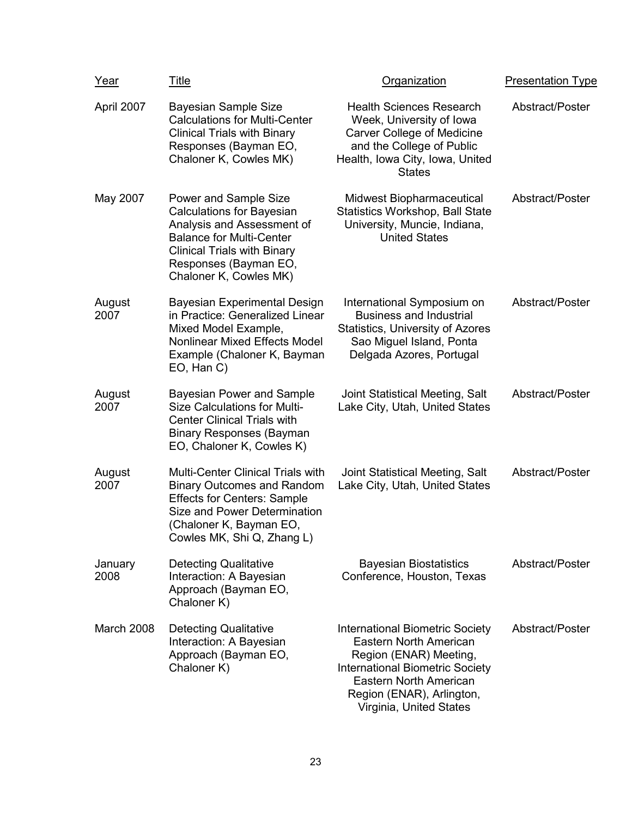| Year            | <u>Title</u>                                                                                                                                                                                                        | Organization                                                                                                                                                                                                                         | <b>Presentation Type</b> |
|-----------------|---------------------------------------------------------------------------------------------------------------------------------------------------------------------------------------------------------------------|--------------------------------------------------------------------------------------------------------------------------------------------------------------------------------------------------------------------------------------|--------------------------|
| April 2007      | Bayesian Sample Size<br><b>Calculations for Multi-Center</b><br><b>Clinical Trials with Binary</b><br>Responses (Bayman EO,<br>Chaloner K, Cowles MK)                                                               | <b>Health Sciences Research</b><br>Week, University of Iowa<br><b>Carver College of Medicine</b><br>and the College of Public<br>Health, Iowa City, Iowa, United<br><b>States</b>                                                    | Abstract/Poster          |
| May 2007        | Power and Sample Size<br><b>Calculations for Bayesian</b><br>Analysis and Assessment of<br><b>Balance for Multi-Center</b><br><b>Clinical Trials with Binary</b><br>Responses (Bayman EO,<br>Chaloner K, Cowles MK) | Midwest Biopharmaceutical<br><b>Statistics Workshop, Ball State</b><br>University, Muncie, Indiana,<br><b>United States</b>                                                                                                          | Abstract/Poster          |
| August<br>2007  | Bayesian Experimental Design<br>in Practice: Generalized Linear<br>Mixed Model Example,<br>Nonlinear Mixed Effects Model<br>Example (Chaloner K, Bayman<br>EO, Han C)                                               | International Symposium on<br><b>Business and Industrial</b><br><b>Statistics, University of Azores</b><br>Sao Miguel Island, Ponta<br>Delgada Azores, Portugal                                                                      | Abstract/Poster          |
| August<br>2007  | <b>Bayesian Power and Sample</b><br><b>Size Calculations for Multi-</b><br><b>Center Clinical Trials with</b><br><b>Binary Responses (Bayman</b><br>EO, Chaloner K, Cowles K)                                       | Joint Statistical Meeting, Salt<br>Lake City, Utah, United States                                                                                                                                                                    | Abstract/Poster          |
| August<br>2007  | <b>Multi-Center Clinical Trials with</b><br><b>Binary Outcomes and Random</b><br><b>Effects for Centers: Sample</b><br>Size and Power Determination<br>(Chaloner K, Bayman EO,<br>Cowles MK, Shi Q, Zhang L)        | Joint Statistical Meeting, Salt<br>Lake City, Utah, United States                                                                                                                                                                    | Abstract/Poster          |
| January<br>2008 | <b>Detecting Qualitative</b><br>Interaction: A Bayesian<br>Approach (Bayman EO,<br>Chaloner K)                                                                                                                      | <b>Bayesian Biostatistics</b><br>Conference, Houston, Texas                                                                                                                                                                          | Abstract/Poster          |
| March 2008      | <b>Detecting Qualitative</b><br>Interaction: A Bayesian<br>Approach (Bayman EO,<br>Chaloner K)                                                                                                                      | <b>International Biometric Society</b><br><b>Eastern North American</b><br>Region (ENAR) Meeting,<br><b>International Biometric Society</b><br><b>Eastern North American</b><br>Region (ENAR), Arlington,<br>Virginia, United States | Abstract/Poster          |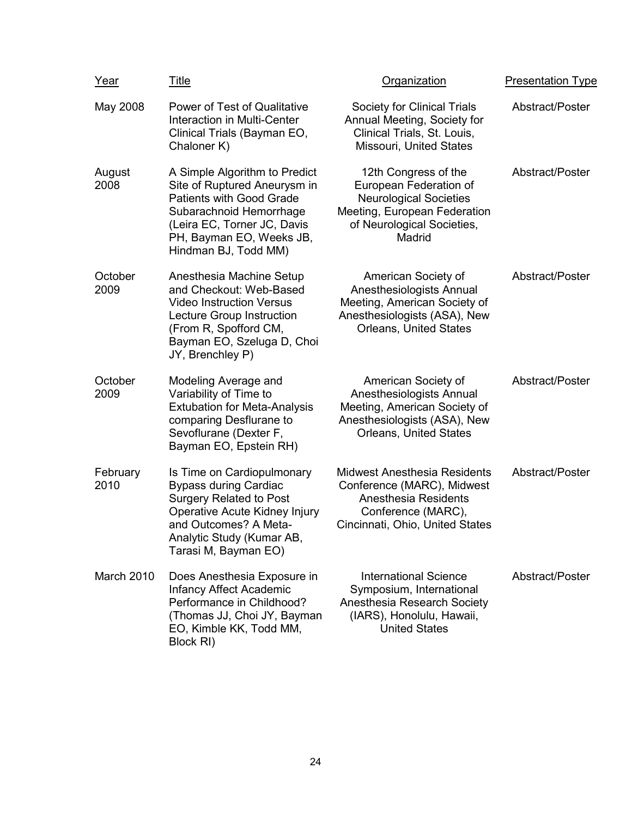| Year             | <u>Title</u>                                                                                                                                                                                                   | Organization                                                                                                                                            | <b>Presentation Type</b> |
|------------------|----------------------------------------------------------------------------------------------------------------------------------------------------------------------------------------------------------------|---------------------------------------------------------------------------------------------------------------------------------------------------------|--------------------------|
| May 2008         | Power of Test of Qualitative<br>Interaction in Multi-Center<br>Clinical Trials (Bayman EO,<br>Chaloner K)                                                                                                      | Society for Clinical Trials<br>Annual Meeting, Society for<br>Clinical Trials, St. Louis,<br>Missouri, United States                                    | Abstract/Poster          |
| August<br>2008   | A Simple Algorithm to Predict<br>Site of Ruptured Aneurysm in<br><b>Patients with Good Grade</b><br>Subarachnoid Hemorrhage<br>(Leira EC, Torner JC, Davis<br>PH, Bayman EO, Weeks JB,<br>Hindman BJ, Todd MM) | 12th Congress of the<br>European Federation of<br><b>Neurological Societies</b><br>Meeting, European Federation<br>of Neurological Societies,<br>Madrid | Abstract/Poster          |
| October<br>2009  | Anesthesia Machine Setup<br>and Checkout: Web-Based<br><b>Video Instruction Versus</b><br>Lecture Group Instruction<br>(From R, Spofford CM,<br>Bayman EO, Szeluga D, Choi<br>JY, Brenchley P)                 | American Society of<br>Anesthesiologists Annual<br>Meeting, American Society of<br>Anesthesiologists (ASA), New<br><b>Orleans, United States</b>        | Abstract/Poster          |
| October<br>2009  | Modeling Average and<br>Variability of Time to<br><b>Extubation for Meta-Analysis</b><br>comparing Desflurane to<br>Sevoflurane (Dexter F,<br>Bayman EO, Epstein RH)                                           | American Society of<br>Anesthesiologists Annual<br>Meeting, American Society of<br>Anesthesiologists (ASA), New<br><b>Orleans, United States</b>        | Abstract/Poster          |
| February<br>2010 | Is Time on Cardiopulmonary<br><b>Bypass during Cardiac</b><br><b>Surgery Related to Post</b><br>Operative Acute Kidney Injury<br>and Outcomes? A Meta-<br>Analytic Study (Kumar AB,<br>Tarasi M, Bayman EO)    | <b>Midwest Anesthesia Residents</b><br>Conference (MARC), Midwest<br>Anesthesia Residents<br>Conference (MARC),<br>Cincinnati, Ohio, United States      | Abstract/Poster          |
| March 2010       | Does Anesthesia Exposure in<br>Infancy Affect Academic<br>Performance in Childhood?<br>(Thomas JJ, Choi JY, Bayman<br>EO, Kimble KK, Todd MM,<br>Block RI)                                                     | <b>International Science</b><br>Symposium, International<br>Anesthesia Research Society<br>(IARS), Honolulu, Hawaii,<br><b>United States</b>            | Abstract/Poster          |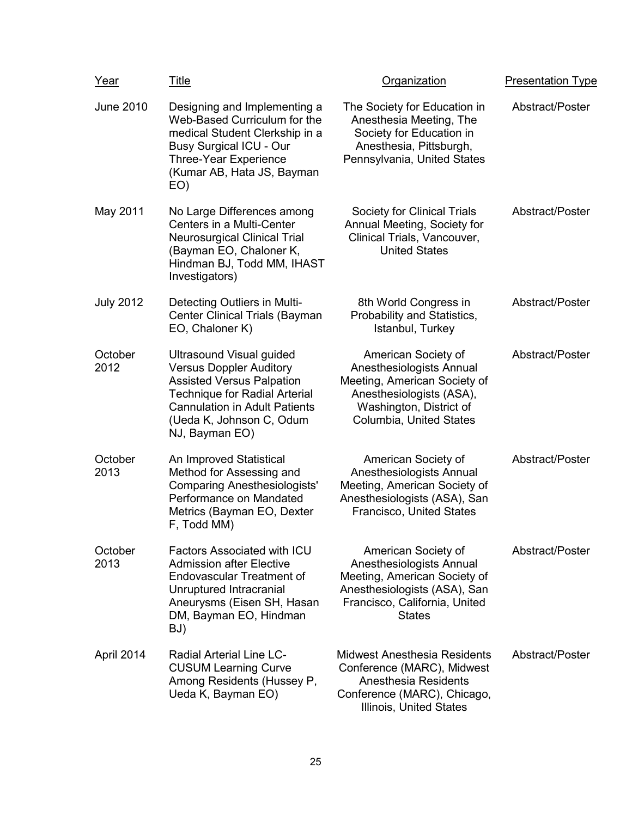| Year             | <u>Title</u>                                                                                                                                                                                                                        | Organization                                                                                                                                                      | <b>Presentation Type</b> |
|------------------|-------------------------------------------------------------------------------------------------------------------------------------------------------------------------------------------------------------------------------------|-------------------------------------------------------------------------------------------------------------------------------------------------------------------|--------------------------|
| <b>June 2010</b> | Designing and Implementing a<br>Web-Based Curriculum for the<br>medical Student Clerkship in a<br><b>Busy Surgical ICU - Our</b><br><b>Three-Year Experience</b><br>(Kumar AB, Hata JS, Bayman<br>EO)                               | The Society for Education in<br>Anesthesia Meeting, The<br>Society for Education in<br>Anesthesia, Pittsburgh,<br>Pennsylvania, United States                     | Abstract/Poster          |
| May 2011         | No Large Differences among<br>Centers in a Multi-Center<br><b>Neurosurgical Clinical Trial</b><br>(Bayman EO, Chaloner K,<br>Hindman BJ, Todd MM, IHAST<br>Investigators)                                                           | Society for Clinical Trials<br>Annual Meeting, Society for<br>Clinical Trials, Vancouver,<br><b>United States</b>                                                 | Abstract/Poster          |
| <b>July 2012</b> | Detecting Outliers in Multi-<br><b>Center Clinical Trials (Bayman</b><br>EO, Chaloner K)                                                                                                                                            | 8th World Congress in<br>Probability and Statistics,<br>Istanbul, Turkey                                                                                          | Abstract/Poster          |
| October<br>2012  | <b>Ultrasound Visual guided</b><br><b>Versus Doppler Auditory</b><br><b>Assisted Versus Palpation</b><br><b>Technique for Radial Arterial</b><br><b>Cannulation in Adult Patients</b><br>(Ueda K, Johnson C, Odum<br>NJ, Bayman EO) | American Society of<br>Anesthesiologists Annual<br>Meeting, American Society of<br>Anesthesiologists (ASA),<br>Washington, District of<br>Columbia, United States | Abstract/Poster          |
| October<br>2013  | An Improved Statistical<br>Method for Assessing and<br><b>Comparing Anesthesiologists'</b><br>Performance on Mandated<br>Metrics (Bayman EO, Dexter<br>F, Todd MM)                                                                  | American Society of<br>Anesthesiologists Annual<br>Meeting, American Society of<br>Anesthesiologists (ASA), San<br>Francisco, United States                       | Abstract/Poster          |
| October<br>2013  | <b>Factors Associated with ICU</b><br><b>Admission after Elective</b><br><b>Endovascular Treatment of</b><br>Unruptured Intracranial<br>Aneurysms (Eisen SH, Hasan<br>DM, Bayman EO, Hindman<br>BJ)                                 | American Society of<br>Anesthesiologists Annual<br>Meeting, American Society of<br>Anesthesiologists (ASA), San<br>Francisco, California, United<br><b>States</b> | Abstract/Poster          |
| April 2014       | <b>Radial Arterial Line LC-</b><br><b>CUSUM Learning Curve</b><br>Among Residents (Hussey P,<br>Ueda K, Bayman EO)                                                                                                                  | <b>Midwest Anesthesia Residents</b><br>Conference (MARC), Midwest<br><b>Anesthesia Residents</b><br>Conference (MARC), Chicago,<br>Illinois, United States        | Abstract/Poster          |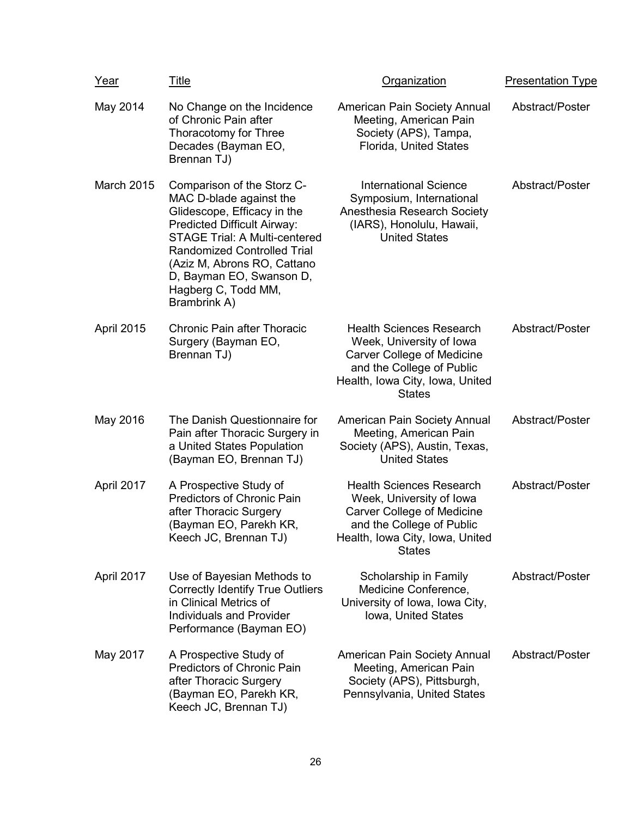| <u>Year</u>       | Title                                                                                                                                                                                                                                                                                                      | <b>Organization</b>                                                                                                                                                               | <b>Presentation Type</b> |
|-------------------|------------------------------------------------------------------------------------------------------------------------------------------------------------------------------------------------------------------------------------------------------------------------------------------------------------|-----------------------------------------------------------------------------------------------------------------------------------------------------------------------------------|--------------------------|
| May 2014          | No Change on the Incidence<br>of Chronic Pain after<br>Thoracotomy for Three<br>Decades (Bayman EO,<br>Brennan TJ)                                                                                                                                                                                         | American Pain Society Annual<br>Meeting, American Pain<br>Society (APS), Tampa,<br>Florida, United States                                                                         | Abstract/Poster          |
| <b>March 2015</b> | Comparison of the Storz C-<br>MAC D-blade against the<br>Glidescope, Efficacy in the<br><b>Predicted Difficult Airway:</b><br><b>STAGE Trial: A Multi-centered</b><br><b>Randomized Controlled Trial</b><br>(Aziz M, Abrons RO, Cattano<br>D, Bayman EO, Swanson D,<br>Hagberg C, Todd MM,<br>Brambrink A) | <b>International Science</b><br>Symposium, International<br>Anesthesia Research Society<br>(IARS), Honolulu, Hawaii,<br><b>United States</b>                                      | Abstract/Poster          |
| April 2015        | <b>Chronic Pain after Thoracic</b><br>Surgery (Bayman EO,<br>Brennan TJ)                                                                                                                                                                                                                                   | <b>Health Sciences Research</b><br>Week, University of Iowa<br><b>Carver College of Medicine</b><br>and the College of Public<br>Health, Iowa City, Iowa, United<br><b>States</b> | Abstract/Poster          |
| May 2016          | The Danish Questionnaire for<br>Pain after Thoracic Surgery in<br>a United States Population<br>(Bayman EO, Brennan TJ)                                                                                                                                                                                    | American Pain Society Annual<br>Meeting, American Pain<br>Society (APS), Austin, Texas,<br><b>United States</b>                                                                   | Abstract/Poster          |
| April 2017        | A Prospective Study of<br><b>Predictors of Chronic Pain</b><br>after Thoracic Surgery<br>(Bayman EO, Parekh KR,<br>Keech JC, Brennan TJ)                                                                                                                                                                   | <b>Health Sciences Research</b><br>Week, University of Iowa<br><b>Carver College of Medicine</b><br>and the College of Public<br>Health, Iowa City, Iowa, United<br><b>States</b> | Abstract/Poster          |
| April 2017        | Use of Bayesian Methods to<br><b>Correctly Identify True Outliers</b><br>in Clinical Metrics of<br><b>Individuals and Provider</b><br>Performance (Bayman EO)                                                                                                                                              | Scholarship in Family<br>Medicine Conference,<br>University of Iowa, Iowa City,<br>Iowa, United States                                                                            | Abstract/Poster          |
| May 2017          | A Prospective Study of<br><b>Predictors of Chronic Pain</b><br>after Thoracic Surgery<br>(Bayman EO, Parekh KR,<br>Keech JC, Brennan TJ)                                                                                                                                                                   | American Pain Society Annual<br>Meeting, American Pain<br>Society (APS), Pittsburgh,<br>Pennsylvania, United States                                                               | Abstract/Poster          |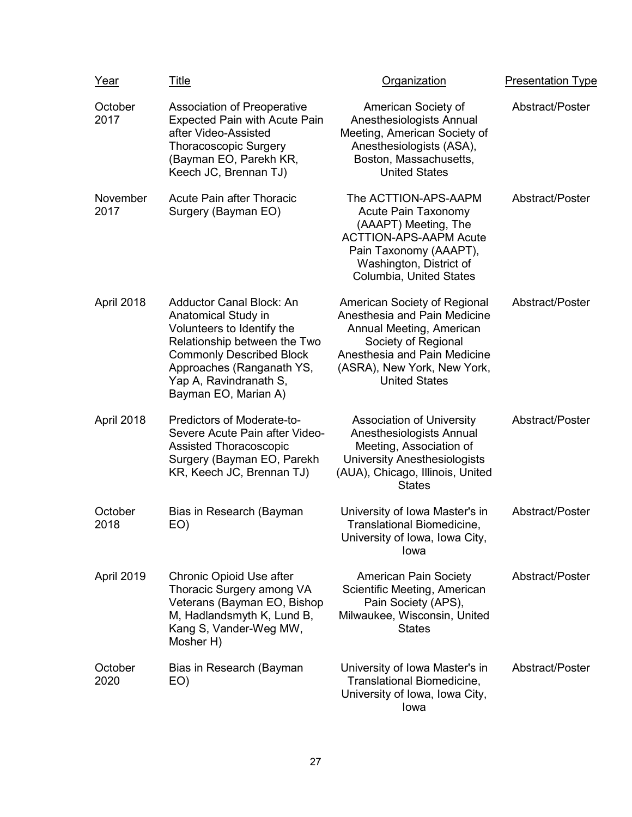| Year             | <u>Title</u>                                                                                                                                                                                                                           | Organization                                                                                                                                                                                           | <b>Presentation Type</b> |
|------------------|----------------------------------------------------------------------------------------------------------------------------------------------------------------------------------------------------------------------------------------|--------------------------------------------------------------------------------------------------------------------------------------------------------------------------------------------------------|--------------------------|
| October<br>2017  | <b>Association of Preoperative</b><br><b>Expected Pain with Acute Pain</b><br>after Video-Assisted<br><b>Thoracoscopic Surgery</b><br>(Bayman EO, Parekh KR,<br>Keech JC, Brennan TJ)                                                  | American Society of<br>Anesthesiologists Annual<br>Meeting, American Society of<br>Anesthesiologists (ASA),<br>Boston, Massachusetts,<br><b>United States</b>                                          | Abstract/Poster          |
| November<br>2017 | <b>Acute Pain after Thoracic</b><br>Surgery (Bayman EO)                                                                                                                                                                                | The ACTTION-APS-AAPM<br><b>Acute Pain Taxonomy</b><br>(AAAPT) Meeting, The<br><b>ACTTION-APS-AAPM Acute</b><br>Pain Taxonomy (AAAPT),<br>Washington, District of<br>Columbia, United States            | Abstract/Poster          |
| April 2018       | <b>Adductor Canal Block: An</b><br>Anatomical Study in<br>Volunteers to Identify the<br>Relationship between the Two<br><b>Commonly Described Block</b><br>Approaches (Ranganath YS,<br>Yap A, Ravindranath S,<br>Bayman EO, Marian A) | American Society of Regional<br>Anesthesia and Pain Medicine<br>Annual Meeting, American<br>Society of Regional<br>Anesthesia and Pain Medicine<br>(ASRA), New York, New York,<br><b>United States</b> | Abstract/Poster          |
| April 2018       | Predictors of Moderate-to-<br>Severe Acute Pain after Video-<br><b>Assisted Thoracoscopic</b><br>Surgery (Bayman EO, Parekh<br>KR, Keech JC, Brennan TJ)                                                                               | <b>Association of University</b><br>Anesthesiologists Annual<br>Meeting, Association of<br><b>University Anesthesiologists</b><br>(AUA), Chicago, Illinois, United<br><b>States</b>                    | Abstract/Poster          |
| October<br>2018  | Bias in Research (Bayman<br>EO)                                                                                                                                                                                                        | University of Iowa Master's in<br>Translational Biomedicine,<br>University of Iowa, Iowa City,<br>Iowa                                                                                                 | Abstract/Poster          |
| April 2019       | Chronic Opioid Use after<br>Thoracic Surgery among VA<br>Veterans (Bayman EO, Bishop<br>M, Hadlandsmyth K, Lund B,<br>Kang S, Vander-Weg MW,<br>Mosher H)                                                                              | <b>American Pain Society</b><br>Scientific Meeting, American<br>Pain Society (APS),<br>Milwaukee, Wisconsin, United<br><b>States</b>                                                                   | Abstract/Poster          |
| October<br>2020  | Bias in Research (Bayman<br>EO)                                                                                                                                                                                                        | University of Iowa Master's in<br>Translational Biomedicine,<br>University of Iowa, Iowa City,<br>lowa                                                                                                 | Abstract/Poster          |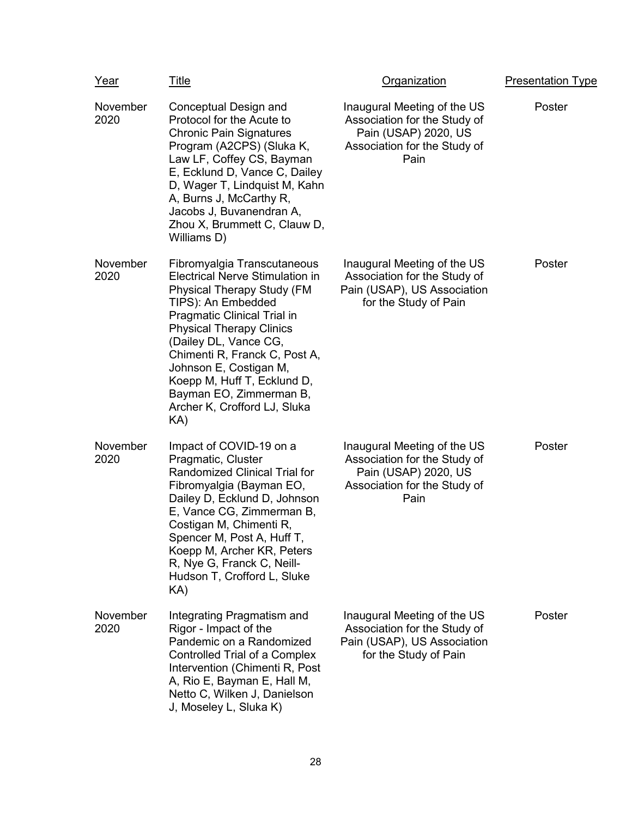| Year             | Title                                                                                                                                                                                                                                                                                                                                                                                          | <b>Organization</b>                                                                                                         | <b>Presentation Type</b> |
|------------------|------------------------------------------------------------------------------------------------------------------------------------------------------------------------------------------------------------------------------------------------------------------------------------------------------------------------------------------------------------------------------------------------|-----------------------------------------------------------------------------------------------------------------------------|--------------------------|
| November<br>2020 | Conceptual Design and<br>Protocol for the Acute to<br><b>Chronic Pain Signatures</b><br>Program (A2CPS) (Sluka K,<br>Law LF, Coffey CS, Bayman<br>E, Ecklund D, Vance C, Dailey<br>D, Wager T, Lindquist M, Kahn<br>A, Burns J, McCarthy R,<br>Jacobs J, Buvanendran A,<br>Zhou X, Brummett C, Clauw D,<br>Williams D)                                                                         | Inaugural Meeting of the US<br>Association for the Study of<br>Pain (USAP) 2020, US<br>Association for the Study of<br>Pain | Poster                   |
| November<br>2020 | Fibromyalgia Transcutaneous<br><b>Electrical Nerve Stimulation in</b><br><b>Physical Therapy Study (FM</b><br>TIPS): An Embedded<br><b>Pragmatic Clinical Trial in</b><br><b>Physical Therapy Clinics</b><br>(Dailey DL, Vance CG,<br>Chimenti R, Franck C, Post A,<br>Johnson E, Costigan M,<br>Koepp M, Huff T, Ecklund D,<br>Bayman EO, Zimmerman B,<br>Archer K, Crofford LJ, Sluka<br>KA) | Inaugural Meeting of the US<br>Association for the Study of<br>Pain (USAP), US Association<br>for the Study of Pain         | Poster                   |
| November<br>2020 | Impact of COVID-19 on a<br>Pragmatic, Cluster<br><b>Randomized Clinical Trial for</b><br>Fibromyalgia (Bayman EO,<br>Dailey D, Ecklund D, Johnson<br>E, Vance CG, Zimmerman B,<br>Costigan M, Chimenti R,<br>Spencer M, Post A, Huff T,<br>Koepp M, Archer KR, Peters<br>R, Nye G, Franck C, Neill-<br>Hudson T, Crofford L, Sluke<br>KA)                                                      | Inaugural Meeting of the US<br>Association for the Study of<br>Pain (USAP) 2020, US<br>Association for the Study of<br>Pain | Poster                   |
| November<br>2020 | Integrating Pragmatism and<br>Rigor - Impact of the<br>Pandemic on a Randomized<br><b>Controlled Trial of a Complex</b><br>Intervention (Chimenti R, Post<br>A, Rio E, Bayman E, Hall M,<br>Netto C, Wilken J, Danielson<br>J, Moseley L, Sluka K)                                                                                                                                             | Inaugural Meeting of the US<br>Association for the Study of<br>Pain (USAP), US Association<br>for the Study of Pain         | Poster                   |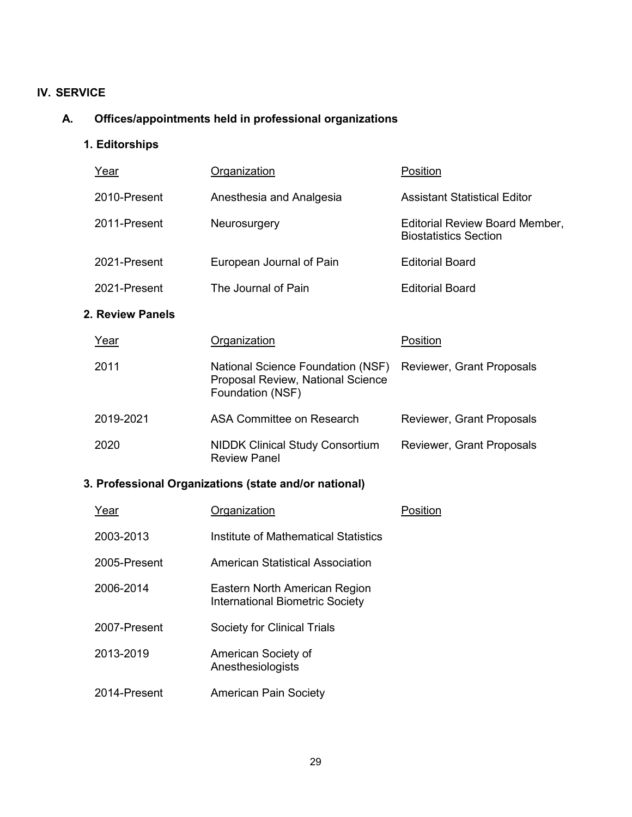### **IV. SERVICE**

## **A. Offices/appointments held in professional organizations**

**1. Editorships**

| <u>Year</u>      | <u>Organization</u>                                                                               | Position                                                       |
|------------------|---------------------------------------------------------------------------------------------------|----------------------------------------------------------------|
| 2010-Present     | Anesthesia and Analgesia                                                                          | <b>Assistant Statistical Editor</b>                            |
| 2011-Present     | Neurosurgery                                                                                      | Editorial Review Board Member,<br><b>Biostatistics Section</b> |
| 2021-Present     | European Journal of Pain                                                                          | <b>Editorial Board</b>                                         |
| 2021-Present     | The Journal of Pain                                                                               | <b>Editorial Board</b>                                         |
| 2. Review Panels |                                                                                                   |                                                                |
| Year             | <u>Organization</u>                                                                               | Position                                                       |
| 2011             | National Science Foundation (NSF)<br><b>Proposal Review, National Science</b><br>Foundation (NSF) | Reviewer, Grant Proposals                                      |
| 2019-2021        | <b>ASA Committee on Research</b>                                                                  | Reviewer, Grant Proposals                                      |
| 2020             | <b>NIDDK Clinical Study Consortium</b><br><b>Review Panel</b>                                     | Reviewer, Grant Proposals                                      |

# **3. Professional Organizations (state and/or national)**

| Year         | Organization                                                            | Position |
|--------------|-------------------------------------------------------------------------|----------|
| 2003-2013    | Institute of Mathematical Statistics                                    |          |
| 2005-Present | American Statistical Association                                        |          |
| 2006-2014    | Eastern North American Region<br><b>International Biometric Society</b> |          |
| 2007-Present | Society for Clinical Trials                                             |          |
| 2013-2019    | American Society of<br>Anesthesiologists                                |          |
| 2014-Present | <b>American Pain Society</b>                                            |          |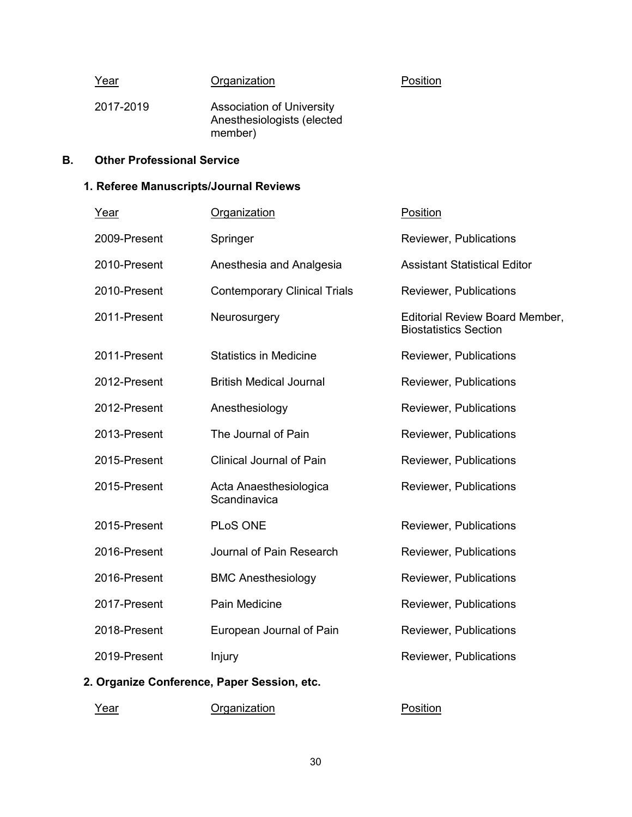| Year      | Organization                                                              | Position |
|-----------|---------------------------------------------------------------------------|----------|
| 2017-2019 | <b>Association of University</b><br>Anesthesiologists (elected<br>member) |          |

## **B. Other Professional Service**

### **1. Referee Manuscripts/Journal Reviews**

| Year         | Organization                           | Position                                                              |
|--------------|----------------------------------------|-----------------------------------------------------------------------|
| 2009-Present | Springer                               | Reviewer, Publications                                                |
| 2010-Present | Anesthesia and Analgesia               | <b>Assistant Statistical Editor</b>                                   |
| 2010-Present | <b>Contemporary Clinical Trials</b>    | Reviewer, Publications                                                |
| 2011-Present | Neurosurgery                           | <b>Editorial Review Board Member,</b><br><b>Biostatistics Section</b> |
| 2011-Present | <b>Statistics in Medicine</b>          | <b>Reviewer, Publications</b>                                         |
| 2012-Present | <b>British Medical Journal</b>         | Reviewer, Publications                                                |
| 2012-Present | Anesthesiology                         | Reviewer, Publications                                                |
| 2013-Present | The Journal of Pain                    | <b>Reviewer, Publications</b>                                         |
| 2015-Present | <b>Clinical Journal of Pain</b>        | Reviewer, Publications                                                |
| 2015-Present | Acta Anaesthesiologica<br>Scandinavica | Reviewer, Publications                                                |
| 2015-Present | PLoS ONE                               | Reviewer, Publications                                                |
| 2016-Present | Journal of Pain Research               | <b>Reviewer, Publications</b>                                         |
| 2016-Present | <b>BMC Anesthesiology</b>              | Reviewer, Publications                                                |
| 2017-Present | Pain Medicine                          | Reviewer, Publications                                                |
| 2018-Present | European Journal of Pain               | Reviewer, Publications                                                |
| 2019-Present | Injury                                 | Reviewer, Publications                                                |

# **2. Organize Conference, Paper Session, etc.**

Year **Organization Position**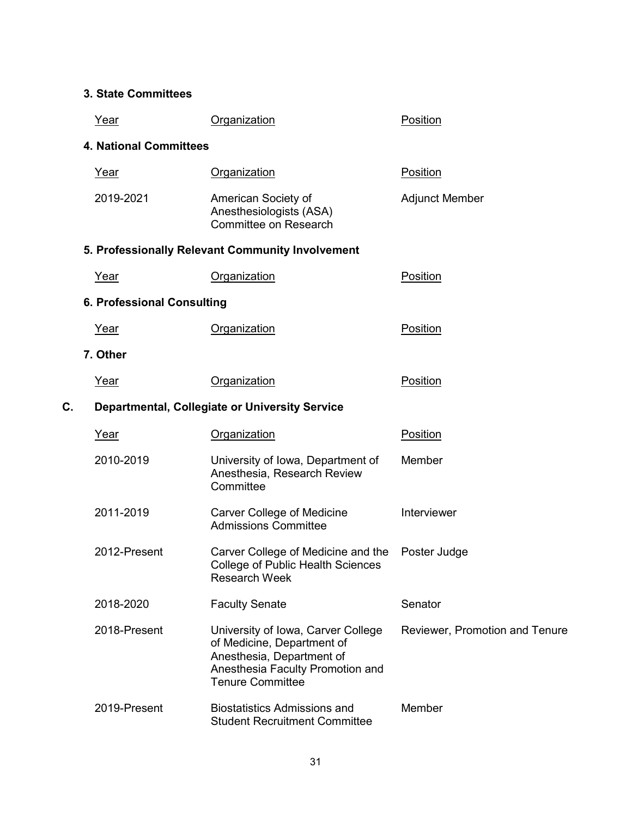# **3. State Committees**

|    | Year                          | Organization                                                                                                                                                 | Position                              |
|----|-------------------------------|--------------------------------------------------------------------------------------------------------------------------------------------------------------|---------------------------------------|
|    | <b>4. National Committees</b> |                                                                                                                                                              |                                       |
|    | Year                          | Organization                                                                                                                                                 | Position                              |
|    | 2019-2021                     | American Society of<br>Anesthesiologists (ASA)<br>Committee on Research                                                                                      | <b>Adjunct Member</b>                 |
|    |                               | 5. Professionally Relevant Community Involvement                                                                                                             |                                       |
|    | Year                          | Organization                                                                                                                                                 | Position                              |
|    | 6. Professional Consulting    |                                                                                                                                                              |                                       |
|    | <u>Year</u>                   | Organization                                                                                                                                                 | Position                              |
|    | 7. Other                      |                                                                                                                                                              |                                       |
|    | Year                          | Organization                                                                                                                                                 | Position                              |
| C. |                               | <b>Departmental, Collegiate or University Service</b>                                                                                                        |                                       |
|    | <u>Year</u>                   | Organization                                                                                                                                                 | Position                              |
|    | 2010-2019                     | University of Iowa, Department of<br>Anesthesia, Research Review<br>Committee                                                                                | Member                                |
|    | 2011-2019                     | <b>Carver College of Medicine</b><br><b>Admissions Committee</b>                                                                                             | Interviewer                           |
|    | 2012-Present                  | Carver College of Medicine and the<br><b>College of Public Health Sciences</b><br><b>Research Week</b>                                                       | Poster Judge                          |
|    | 2018-2020                     | <b>Faculty Senate</b>                                                                                                                                        | Senator                               |
|    | 2018-Present                  | University of Iowa, Carver College<br>of Medicine, Department of<br>Anesthesia, Department of<br>Anesthesia Faculty Promotion and<br><b>Tenure Committee</b> | <b>Reviewer, Promotion and Tenure</b> |
|    | 2019-Present                  | <b>Biostatistics Admissions and</b><br><b>Student Recruitment Committee</b>                                                                                  | Member                                |